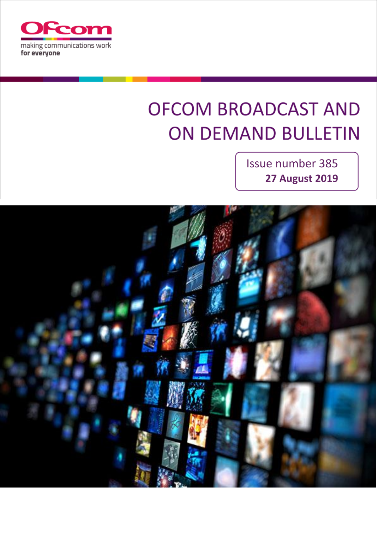

# **OFCOM BROADCAST AND ON DEMAND BULLETIN**

Issue number 385 **27 August 2019**

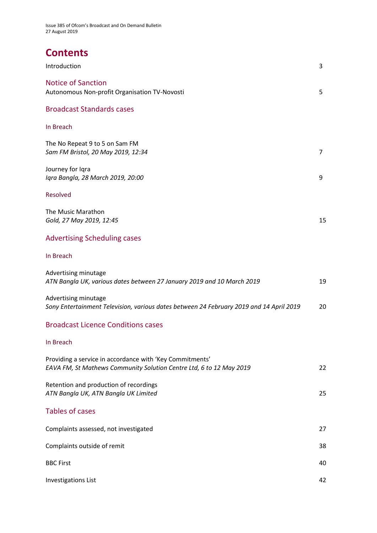# **Contents**

| Introduction                                                                                                                    | 3              |
|---------------------------------------------------------------------------------------------------------------------------------|----------------|
| <b>Notice of Sanction</b><br>Autonomous Non-profit Organisation TV-Novosti                                                      | 5              |
| <b>Broadcast Standards cases</b>                                                                                                |                |
| In Breach                                                                                                                       |                |
| The No Repeat 9 to 5 on Sam FM<br>Sam FM Bristol, 20 May 2019, 12:34                                                            | $\overline{7}$ |
| Journey for Iqra<br>Iqra Bangla, 28 March 2019, 20:00                                                                           | 9              |
| Resolved                                                                                                                        |                |
| The Music Marathon<br>Gold, 27 May 2019, 12:45                                                                                  | 15             |
| <b>Advertising Scheduling cases</b>                                                                                             |                |
| In Breach                                                                                                                       |                |
| Advertising minutage<br>ATN Bangla UK, various dates between 27 January 2019 and 10 March 2019                                  | 19             |
| Advertising minutage<br>Sony Entertainment Television, various dates between 24 February 2019 and 14 April 2019                 | 20             |
| <b>Broadcast Licence Conditions cases</b>                                                                                       |                |
| In Breach                                                                                                                       |                |
| Providing a service in accordance with 'Key Commitments'<br>EAVA FM, St Mathews Community Solution Centre Ltd, 6 to 12 May 2019 | 22             |
| Retention and production of recordings<br>ATN Bangla UK, ATN Bangla UK Limited                                                  | 25             |
| <b>Tables of cases</b>                                                                                                          |                |
| Complaints assessed, not investigated                                                                                           | 27             |
| Complaints outside of remit                                                                                                     | 38             |
| <b>BBC First</b>                                                                                                                | 40             |
| <b>Investigations List</b>                                                                                                      | 42             |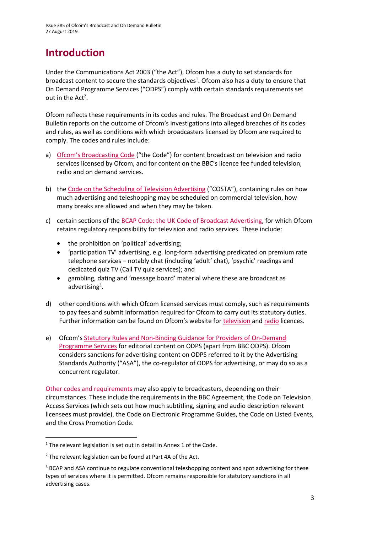# **Introduction**

Under the Communications Act 2003 ("the Act"), Ofcom has a duty to set standards for broadcast content to secure the standards objectives<sup>1</sup>. Ofcom also has a duty to ensure that On Demand Programme Services ("ODPS") comply with certain standards requirements set out in the  $Act^2$ .

Ofcom reflects these requirements in its codes and rules. The Broadcast and On Demand Bulletin reports on the outcome of Ofcom's investigations into alleged breaches of its codes and rules, as well as conditions with which broadcasters licensed by Ofcom are required to comply. The codes and rules include:

- a) [Ofcom's Broadcasting Code](http://stakeholders.ofcom.org.uk/broadcasting/broadcast-codes/broadcast-code/) ("the Code") for content broadcast on television and radio services licensed by Ofcom, and for content on the BBC's licence fee funded television, radio and on demand services.
- b) the [Code on the Scheduling of Television Advertising](https://www.ofcom.org.uk/__data/assets/pdf_file/0014/32162/costa-april-2016.pdf) ("COSTA"), containing rules on how much advertising and teleshopping may be scheduled on commercial television, how many breaks are allowed and when they may be taken.
- c) certain sections of th[e BCAP Code: the UK Code of Broadcast Advertising,](https://www.asa.org.uk/codes-and-rulings/advertising-codes/broadcast-code.html) for which Ofcom retains regulatory responsibility for television and radio services. These include:
	- the prohibition on 'political' advertising;
	- 'participation TV' advertising, e.g. long-form advertising predicated on premium rate telephone services – notably chat (including 'adult' chat), 'psychic' readings and dedicated quiz TV (Call TV quiz services); and
	- gambling, dating and 'message board' material where these are broadcast as advertising<sup>3</sup>.
- d) other conditions with which Ofcom licensed services must comply, such as requirements to pay fees and submit information required for Ofcom to carry out its statutory duties. Further information can be found on Ofcom's website for [television](http://licensing.ofcom.org.uk/tv-broadcast-licences/) and [radio](http://licensing.ofcom.org.uk/radio-broadcast-licensing/) licences.
- e) Ofcom's [Statutory Rules and Non-Binding Guidance for Providers of On-Demand](http://stakeholders.ofcom.org.uk/binaries/broadcast/on-demand/rules-guidance/rules_and_guidance.pdf)  [Programme Services](http://stakeholders.ofcom.org.uk/binaries/broadcast/on-demand/rules-guidance/rules_and_guidance.pdf) for editorial content on ODPS (apart from BBC ODPS). Ofcom considers sanctions for advertising content on ODPS referred to it by the Advertising Standards Authority ("ASA"), the co-regulator of ODPS for advertising, or may do so as a concurrent regulator.

[Other codes and requirements](http://stakeholders.ofcom.org.uk/broadcasting/broadcast-codes/) may also apply to broadcasters, depending on their circumstances. These include the requirements in the BBC Agreement, the Code on Television Access Services (which sets out how much subtitling, signing and audio description relevant licensees must provide), the Code on Electronic Programme Guides, the Code on Listed Events, and the Cross Promotion Code.

**.** 

<sup>&</sup>lt;sup>1</sup> The relevant legislation is set out in detail in Annex 1 of the Code.

<sup>&</sup>lt;sup>2</sup> The relevant legislation can be found at Part 4A of the Act.

<sup>&</sup>lt;sup>3</sup> BCAP and ASA continue to regulate conventional teleshopping content and spot advertising for these types of services where it is permitted. Ofcom remains responsible for statutory sanctions in all advertising cases.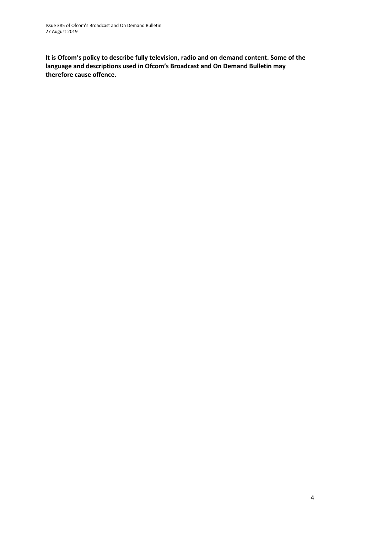**It is Ofcom's policy to describe fully television, radio and on demand content. Some of the language and descriptions used in Ofcom's Broadcast and On Demand Bulletin may therefore cause offence.**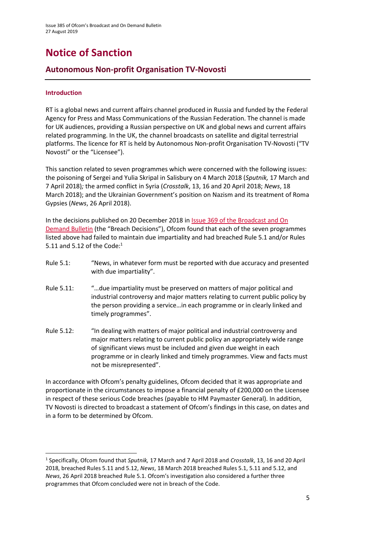# **Notice of Sanction**

### **Autonomous Non-profit Organisation TV-Novosti**

### **Introduction**

1

RT is a global news and current affairs channel produced in Russia and funded by the Federal Agency for Press and Mass Communications of the Russian Federation. The channel is made for UK audiences, providing a Russian perspective on UK and global news and current affairs related programming. In the UK, the channel broadcasts on satellite and digital terrestrial platforms. The licence for RT is held by Autonomous Non-profit Organisation TV-Novosti ("TV Novosti" or the "Licensee").

This sanction related to seven programmes which were concerned with the following issues: the poisoning of Sergei and Yulia Skripal in Salisbury on 4 March 2018 (*Sputnik,* 17 March and 7 April 2018)*;* the armed conflict in Syria (*Crosstalk*, 13, 16 and 20 April 2018; *News*, 18 March 2018); and the Ukrainian Government's position on Nazism and its treatment of Roma Gypsies (*News*, 26 April 2018).

In the decisions published on 20 December 2018 in [Issue 369 of the Broadcast and On](https://www.ofcom.org.uk/__data/assets/pdf_file/0020/131159/Issue-369-Broadcast-and-On-Demand-Bulletin.pdf)  [Demand Bulletin](https://www.ofcom.org.uk/__data/assets/pdf_file/0020/131159/Issue-369-Broadcast-and-On-Demand-Bulletin.pdf) (the "Breach Decisions"), Ofcom found that each of the seven programmes listed above had failed to maintain due impartiality and had breached Rule 5.1 and/or Rules 5.11 and 5.12 of the Code:<sup>1</sup>

- Rule 5.1: "News, in whatever form must be reported with due accuracy and presented with due impartiality".
- Rule 5.11: "…due impartiality must be preserved on matters of major political and industrial controversy and major matters relating to current public policy by the person providing a service…in each programme or in clearly linked and timely programmes".
- Rule 5.12: "In dealing with matters of major political and industrial controversy and major matters relating to current public policy an appropriately wide range of significant views must be included and given due weight in each programme or in clearly linked and timely programmes. View and facts must not be misrepresented".

In accordance with Ofcom's penalty guidelines, Ofcom decided that it was appropriate and proportionate in the circumstances to impose a financial penalty of £200,000 on the Licensee in respect of these serious Code breaches (payable to HM Paymaster General). In addition, TV Novosti is directed to broadcast a statement of Ofcom's findings in this case, on dates and in a form to be determined by Ofcom.

<sup>1</sup> Specifically, Ofcom found that *Sputnik,* 17 March and 7 April 2018 and *Crosstalk*, 13, 16 and 20 April 2018, breached Rules 5.11 and 5.12, *News*, 18 March 2018 breached Rules 5.1, 5.11 and 5.12, and *News*, 26 April 2018 breached Rule 5.1. Ofcom's investigation also considered a further three programmes that Ofcom concluded were not in breach of the Code.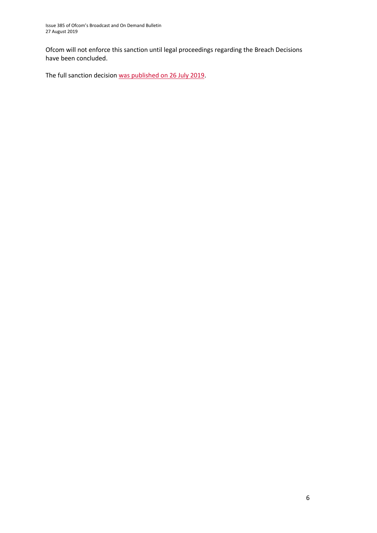Ofcom will not enforce this sanction until legal proceedings regarding the Breach Decisions have been concluded.

The full sanction decisio[n was published on 26 July 2019.](https://www.ofcom.org.uk/__data/assets/pdf_file/0027/158571/sanction-decision-rt.pdf)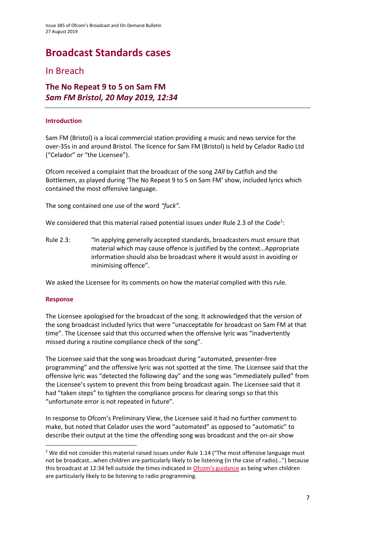# **Broadcast Standards cases**

### In Breach

### **The No Repeat 9 to 5 on Sam FM**  *Sam FM Bristol, 20 May 2019, 12:34*

#### **Introduction**

Sam FM (Bristol) is a local commercial station providing a music and news service for the over-35s in and around Bristol. The licence for Sam FM (Bristol) is held by Celador Radio Ltd ("Celador" or "the Licensee").

Ofcom received a complaint that the broadcast of the song *2All* by Catfish and the Bottlemen, as played during 'The No Repeat 9 to 5 on Sam FM' show, included lyrics which contained the most offensive language.

The song contained one use of the word *"fuck".*

We considered that this material raised potential issues under Rule 2.3 of the Code<sup>1</sup>:

Rule 2.3: "In applying generally accepted standards, broadcasters must ensure that material which may cause offence is justified by the context…Appropriate information should also be broadcast where it would assist in avoiding or minimising offence".

We asked the Licensee for its comments on how the material complied with this rule.

#### **Response**

**.** 

The Licensee apologised for the broadcast of the song. It acknowledged that the version of the song broadcast included lyrics that were "unacceptable for broadcast on Sam FM at that time". The Licensee said that this occurred when the offensive lyric was "inadvertently missed during a routine compliance check of the song".

The Licensee said that the song was broadcast during "automated, presenter-free programming" and the offensive lyric was not spotted at the time. The Licensee said that the offensive lyric was "detected the following day" and the song was "immediately pulled" from the Licensee's system to prevent this from being broadcast again. The Licensee said that it had "taken steps" to tighten the compliance process for clearing songs so that this "unfortunate error is not repeated in future".

In response to Ofcom's Preliminary View, the Licensee said it had no further comment to make, but noted that Celador uses the word "automated" as opposed to "automatic" to describe their output at the time the offending song was broadcast and the on-air show

<sup>&</sup>lt;sup>1</sup> We did not consider this material raised issues under Rule 1.14 ("The most offensive language must not be broadcast…when children are particularly likely to be listening (in the case of radio)…") because this broadcast at 12:34 fell outside the times indicated in [Ofcom's guidance](https://www.ofcom.org.uk/__data/assets/pdf_file/0014/40541/offensive-language.pdf) as being when children are particularly likely to be listening to radio programming.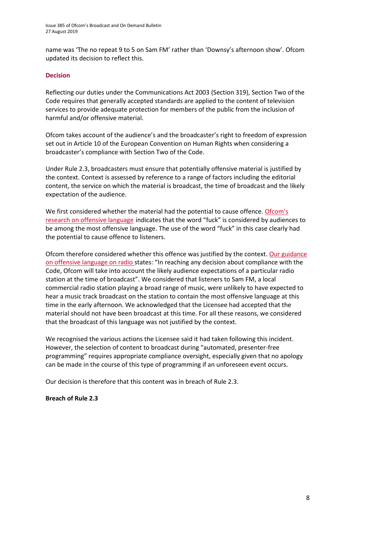name was 'The no repeat 9 to 5 on Sam FM' rather than 'Downsy's afternoon show'. Ofcom updated its decision to reflect this.

#### **Decision**

Reflecting our duties under the Communications Act 2003 (Section 319), Section Two of the Code requires that generally accepted standards are applied to the content of television services to provide adequate protection for members of the public from the inclusion of harmful and/or offensive material.

Ofcom takes account of the audience's and the broadcaster's right to freedom of expression set out in Article 10 of the European Convention on Human Rights when considering a broadcaster's compliance with Section Two of the Code.

Under Rule 2.3, broadcasters must ensure that potentially offensive material is justified by the context. Context is assessed by reference to a range of factors including the editorial content, the service on which the material is broadcast, the time of broadcast and the likely expectation of the audience.

We first considered whether the material had the potential to cause offence. [Ofcom's](https://www.ofcom.org.uk/__data/assets/pdf_file/0022/91624/OfcomOffensiveLanguage.pdf)  [research on offensive language](https://www.ofcom.org.uk/__data/assets/pdf_file/0022/91624/OfcomOffensiveLanguage.pdf) indicates that the word "fuck" is considered by audiences to be among the most offensive language. The use of the word "fuck" in this case clearly had the potential to cause offence to listeners.

Ofcom therefore considered whether this offence was justified by the context. [Our guidance](https://www.ofcom.org.uk/__data/assets/pdf_file/0014/40541/offensive-language.pdf)  [on offensive language on radio](https://www.ofcom.org.uk/__data/assets/pdf_file/0014/40541/offensive-language.pdf) states: "In reaching any decision about compliance with the Code, Ofcom will take into account the likely audience expectations of a particular radio station at the time of broadcast". We considered that listeners to Sam FM, a local commercial radio station playing a broad range of music, were unlikely to have expected to hear a music track broadcast on the station to contain the most offensive language at this time in the early afternoon. We acknowledged that the Licensee had accepted that the material should not have been broadcast at this time. For all these reasons, we considered that the broadcast of this language was not justified by the context.

We recognised the various actions the Licensee said it had taken following this incident. However, the selection of content to broadcast during "automated, presenter-free programming" requires appropriate compliance oversight, especially given that no apology can be made in the course of this type of programming if an unforeseen event occurs.

Our decision is therefore that this content was in breach of Rule 2.3.

### **Breach of Rule 2.3**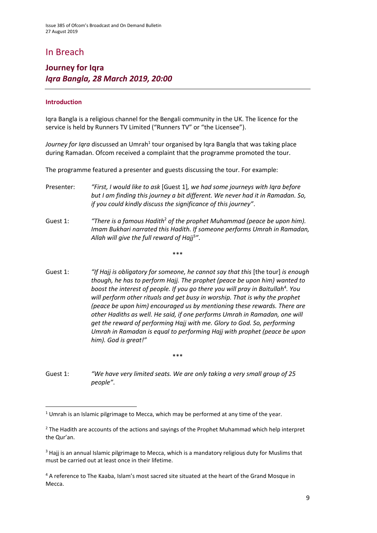### In Breach

### **Journey for Iqra** *Iqra Bangla, 28 March 2019, 20:00*

#### **Introduction**

1

Iqra Bangla is a religious channel for the Bengali community in the UK. The licence for the service is held by Runners TV Limited ("Runners TV" or "the Licensee").

Journey for Iqra discussed an Umrah<sup>1</sup> tour organised by Iqra Bangla that was taking place during Ramadan. Ofcom received a complaint that the programme promoted the tour.

The programme featured a presenter and guests discussing the tour. For example:

- Presenter: *"First, I would like to ask* [Guest 1]*, we had some journeys with Iqra before but I am finding this journey a bit different. We never had it in Ramadan. So, if you could kindly discuss the significance of this journey"*.
- Guest 1: *"There is a famous Hadith<sup>2</sup> of the prophet Muhammad (peace be upon him). Imam Bukhari narrated this Hadith. If someone performs Umrah in Ramadan, Allah will give the full reward of Hajj*<sup>3</sup> *"*.

\*\*\*

Guest 1: *"If Hajj is obligatory for someone, he cannot say that this* [the tour] *is enough though, he has to perform Hajj. The prophet (peace be upon him) wanted to*  boost the interest of people. If you go there you will pray in Baitullah<sup>4</sup>. You *will perform other rituals and get busy in worship. That is why the prophet (peace be upon him) encouraged us by mentioning these rewards. There are other Hadiths as well. He said, if one performs Umrah in Ramadan, one will get the reward of performing Hajj with me. Glory to God. So, performing Umrah in Ramadan is equal to performing Hajj with prophet (peace be upon him). God is great!"* 

\*\*\*

Guest 1: *"We have very limited seats. We are only taking a very small group of 25 people"*.

 $1$  Umrah is an Islamic pilgrimage to Mecca, which may be performed at any time of the year.

<sup>&</sup>lt;sup>2</sup> The Hadith are accounts of the actions and sayings of the Prophet Muhammad which help interpret the Qur'an.

 $3$  Hajj is an annual Islamic pilgrimage to Mecca, which is a mandatory religious duty for Muslims that must be carried out at least once in their lifetime.

<sup>4</sup> A reference to The Kaaba, Islam's most sacred site situated at the heart of the Grand Mosque in Mecca.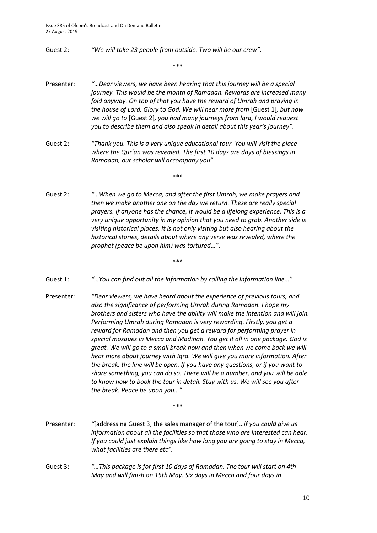Guest 2: *"We will take 23 people from outside. Two will be our crew"*.

\*\*\*

- Presenter: *"*…*Dear viewers, we have been hearing that this journey will be a special journey. This would be the month of Ramadan. Rewards are increased many fold anyway. On top of that you have the reward of Umrah and praying in the house of Lord. Glory to God. We will hear more from* [Guest 1]*, but now we will go to* [Guest 2]*, you had many journeys from Iqra, I would request you to describe them and also speak in detail about this year's journey"*.
- Guest 2: *"Thank you. This is a very unique educational tour. You will visit the place where the Qur'an was revealed. The first 10 days are days of blessings in Ramadan, our scholar will accompany you".*
- Guest 2: *"*…*When we go to Mecca, and after the first Umrah, we make prayers and then we make another one on the day we return. These are really special prayers. If anyone has the chance, it would be a lifelong experience. This is a very unique opportunity in my opinion that you need to grab. Another side is visiting historical places. It is not only visiting but also hearing about the historical stories, details about where any verse was revealed, where the prophet (peace be upon him) was tortured*…*"*.

\*\*\*

\*\*\*

- Guest 1: *"…You can find out all the information by calling the information line…"*.
- Presenter: *"Dear viewers, we have heard about the experience of previous tours, and also the significance of performing Umrah during Ramadan. I hope my brothers and sisters who have the ability will make the intention and will join. Performing Umrah during Ramadan is very rewarding. Firstly, you get a reward for Ramadan and then you get a reward for performing prayer in special mosques in Mecca and Madinah. You get it all in one package. God is great. We will go to a small break now and then when we come back we will hear more about journey with Iqra. We will give you more information. After the break, the line will be open. If you have any questions, or if you want to share something, you can do so. There will be a number, and you will be able to know how to book the tour in detail. Stay with us. We will see you after the break. Peace be upon you…"*.

\*\*\*

- Presenter: *"*[addressing Guest 3, the sales manager of the tour]…*if you could give us information about all the facilities so that those who are interested can hear. If you could just explain things like how long you are going to stay in Mecca, what facilities are there etc".*
- Guest 3: *"…This package is for first 10 days of Ramadan. The tour will start on 4th May and will finish on 15th May. Six days in Mecca and four days in*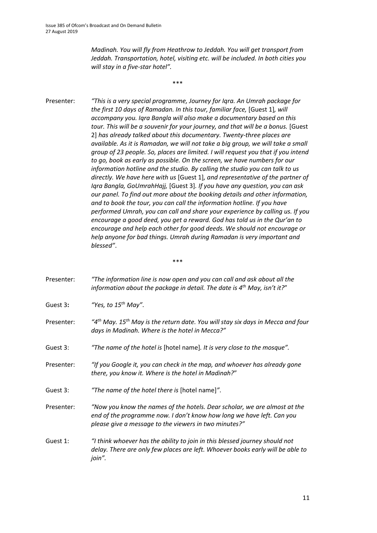*Madinah. You will fly from Heathrow to Jeddah. You will get transport from Jeddah. Transportation, hotel, visiting etc. will be included. In both cities you will stay in a five-star hotel".*

Presenter: *"This is a very special programme, Journey for Iqra. An Umrah package for the first 10 days of Ramadan. In this tour, familiar face,* [Guest 1]*, will accompany you. Iqra Bangla will also make a documentary based on this* 

\*\*\*

*tour. This will be a souvenir for your journey, and that will be a bonus.* [Guest 2] *has already talked about this documentary. Twenty-three places are available. As it is Ramadan, we will not take a big group, we will take a small group of 23 people. So, places are limited. I will request you that if you intend to go, book as early as possible. On the screen, we have numbers for our information hotline and the studio. By calling the studio you can talk to us directly. We have here with us* [Guest 1]*, and representative of the partner of Iqra Bangla, GoUmrahHajj,* [Guest 3]*. If you have any question, you can ask our panel. To find out more about the booking details and other information, and to book the tour, you can call the information hotline. If you have performed Umrah, you can call and share your experience by calling us. If you encourage a good deed, you get a reward. God has told us in the Qur'an to encourage and help each other for good deeds. We should not encourage or help anyone for bad things. Umrah during Ramadan is very important and blessed"*.

\*\*\*

Presenter: *"The information line is now open and you can call and ask about all the information about the package in detail. The date is 4th May, isn't it?*"

Guest 3**:** *"Yes, to 15th May"*.

Presenter: *"4 th May. 15th May is the return date. You will stay six days in Mecca and four days in Madinah. Where is the hotel in Mecca?"*

Guest 3: *"The name of the hotel is* [hotel name]*. It is very close to the mosque".*

Presenter: *"If you Google it, you can check in the map, and whoever has already gone there, you know it. Where is the hotel in Madinah?*"

Guest 3: *"The name of the hotel there is* [hotel name]*"*.

Presenter: *"Now you know the names of the hotels. Dear scholar, we are almost at the end of the programme now. I don't know how long we have left. Can you please give a message to the viewers in two minutes?"*

Guest 1: *"I think whoever has the ability to join in this blessed journey should not delay. There are only few places are left. Whoever books early will be able to join".*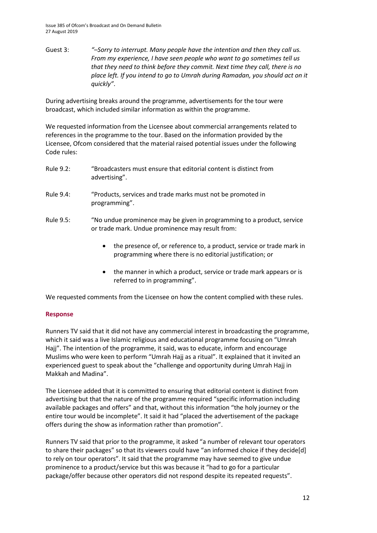Guest 3: *"–Sorry to interrupt. Many people have the intention and then they call us. From my experience, I have seen people who want to go sometimes tell us that they need to think before they commit. Next time they call, there is no place left. If you intend to go to Umrah during Ramadan, you should act on it quickly"*.

During advertising breaks around the programme, advertisements for the tour were broadcast, which included similar information as within the programme.

We requested information from the Licensee about commercial arrangements related to references in the programme to the tour. Based on the information provided by the Licensee, Ofcom considered that the material raised potential issues under the following Code rules:

- Rule 9.2: "Broadcasters must ensure that editorial content is distinct from advertising".
- Rule 9.4: "Products, services and trade marks must not be promoted in programming".
- Rule 9.5: "No undue prominence may be given in programming to a product, service or trade mark. Undue prominence may result from:
	- the presence of, or reference to, a product, service or trade mark in programming where there is no editorial justification; or
	- the manner in which a product, service or trade mark appears or is referred to in programming".

We requested comments from the Licensee on how the content complied with these rules.

#### **Response**

Runners TV said that it did not have any commercial interest in broadcasting the programme, which it said was a live Islamic religious and educational programme focusing on "Umrah Hajj". The intention of the programme, it said, was to educate, inform and encourage Muslims who were keen to perform "Umrah Hajj as a ritual". It explained that it invited an experienced guest to speak about the "challenge and opportunity during Umrah Hajj in Makkah and Madina".

The Licensee added that it is committed to ensuring that editorial content is distinct from advertising but that the nature of the programme required "specific information including available packages and offers" and that, without this information "the holy journey or the entire tour would be incomplete". It said it had "placed the advertisement of the package offers during the show as information rather than promotion".

Runners TV said that prior to the programme, it asked "a number of relevant tour operators to share their packages" so that its viewers could have "an informed choice if they decide[d] to rely on tour operators". It said that the programme may have seemed to give undue prominence to a product/service but this was because it "had to go for a particular package/offer because other operators did not respond despite its repeated requests".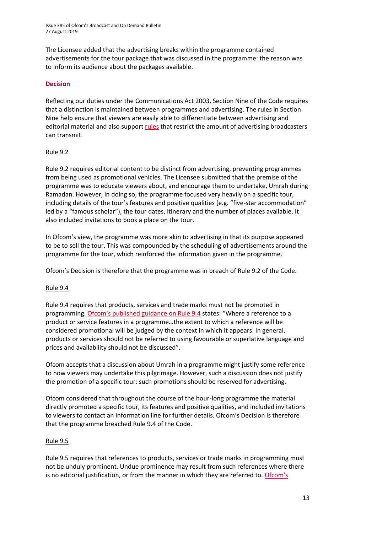The Licensee added that the advertising breaks within the programme contained advertisements for the tour package that was discussed in the programme: the reason was to inform its audience about the packages available.

### **Decision**

Reflecting our duties under the Communications Act 2003, Section Nine of the Code requires that a distinction is maintained between programmes and advertising. The rules in Section Nine help ensure that viewers are easily able to differentiate between advertising and editorial material and also support [rules](https://www.ofcom.org.uk/tv-radio-and-on-demand/broadcast-codes/code-tv-advertising) that restrict the amount of advertising broadcasters can transmit.

### Rule 9.2

Rule 9.2 requires editorial content to be distinct from advertising, preventing programmes from being used as promotional vehicles. The Licensee submitted that the premise of the programme was to educate viewers about, and encourage them to undertake, Umrah during Ramadan. However, in doing so, the programme focused very heavily on a specific tour, including details of the tour's features and positive qualities (e.g. "five-star accommodation" led by a "famous scholar"), the tour dates, itinerary and the number of places available. It also included invitations to book a place on the tour.

In Ofcom's view, the programme was more akin to advertising in that its purpose appeared to be to sell the tour. This was compounded by the scheduling of advertisements around the programme for the tour, which reinforced the information given in the programme.

Ofcom's Decision is therefore that the programme was in breach of Rule 9.2 of the Code.

### Rule 9.4

Rule 9.4 requires that products, services and trade marks must not be promoted in programming. [Ofcom's published guidance on Rule 9.4](https://www.ofcom.org.uk/__data/assets/pdf_file/0014/33611/section9_may16.pdf) states: "Where a reference to a product or service features in a programme…the extent to which a reference will be considered promotional will be judged by the context in which it appears. In general, products or services should not be referred to using favourable or superlative language and prices and availability should not be discussed".

Ofcom accepts that a discussion about Umrah in a programme might justify some reference to how viewers may undertake this pilgrimage. However, such a discussion does not justify the promotion of a specific tour: such promotions should be reserved for advertising.

Ofcom considered that throughout the course of the hour-long programme the material directly promoted a specific tour, its features and positive qualities, and included invitations to viewers to contact an information line for further details. Ofcom's Decision is therefore that the programme breached Rule 9.4 of the Code.

### Rule 9.5

Rule 9.5 requires that references to products, services or trade marks in programming must not be unduly prominent. Undue prominence may result from such references where there is no editorial justification, or from the manner in which they are referred to. Ofcom's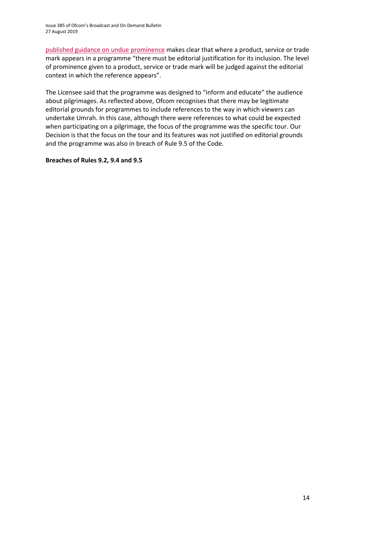Issue 385 of Ofcom's Broadcast and On Demand Bulletin 27 August 2019

[published guidance on undue prominence](https://www.ofcom.org.uk/__data/assets/pdf_file/0014/33611/section9_may16.pdf) makes clear that where a product, service or trade mark appears in a programme "there must be editorial justification for its inclusion. The level of prominence given to a product, service or trade mark will be judged against the editorial context in which the reference appears".

The Licensee said that the programme was designed to "inform and educate" the audience about pilgrimages. As reflected above, Ofcom recognises that there may be legitimate editorial grounds for programmes to include references to the way in which viewers can undertake Umrah. In this case, although there were references to what could be expected when participating on a pilgrimage, the focus of the programme was the specific tour. Our Decision is that the focus on the tour and its features was not justified on editorial grounds and the programme was also in breach of Rule 9.5 of the Code.

#### **Breaches of Rules 9.2, 9.4 and 9.5**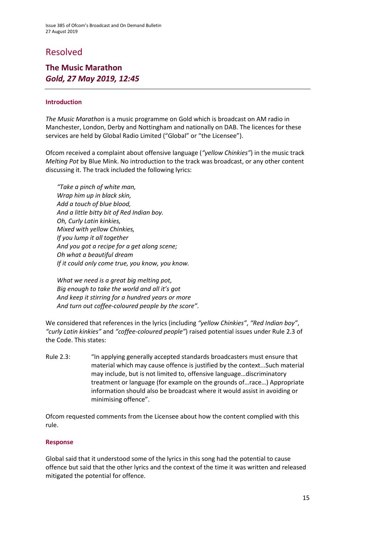### Resolved

### **The Music Marathon** *Gold, 27 May 2019, 12:45*

### **Introduction**

*The Music Marathon* is a music programme on Gold which is broadcast on AM radio in Manchester, London, Derby and Nottingham and nationally on DAB. The licences for these services are held by Global Radio Limited ("Global" or "the Licensee").

Ofcom received a complaint about offensive language (*"yellow Chinkies"*) in the music track *Melting Pot* by Blue Mink. No introduction to the track was broadcast, or any other content discussing it. The track included the following lyrics:

*"Take a pinch of white man, Wrap him up in black skin, Add a touch of blue blood, And a little bitty bit of Red Indian boy. Oh, Curly Latin kinkies, Mixed with yellow Chinkies, If you lump it all together And you got a recipe for a get along scene; Oh what a beautiful dream If it could only come true, you know, you know.*

*What we need is a great big melting pot, Big enough to take the world and all it's got And keep it stirring for a hundred years or more And turn out coffee-coloured people by the score".*

We considered that references in the lyrics (including *"yellow Chinkies"*, *"Red Indian boy"*, *"curly Latin kinkies"* and *"coffee-coloured people"*) raised potential issues under Rule 2.3 of the Code. This states:

Rule 2.3: "In applying generally accepted standards broadcasters must ensure that material which may cause offence is justified by the context...Such material may include, but is not limited to, offensive language…discriminatory treatment or language (for example on the grounds of…race…) Appropriate information should also be broadcast where it would assist in avoiding or minimising offence".

Ofcom requested comments from the Licensee about how the content complied with this rule.

### **Response**

Global said that it understood some of the lyrics in this song had the potential to cause offence but said that the other lyrics and the context of the time it was written and released mitigated the potential for offence.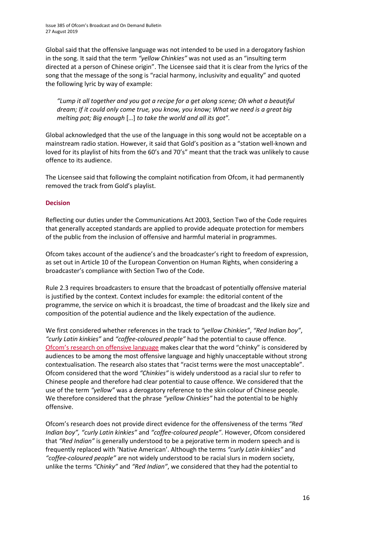Global said that the offensive language was not intended to be used in a derogatory fashion in the song. It said that the term *"yellow Chinkies"* was not used as an "insulting term directed at a person of Chinese origin". The Licensee said that it is clear from the lyrics of the song that the message of the song is "racial harmony, inclusivity and equality" and quoted the following lyric by way of example:

*"Lump it all together and you got a recipe for a get along scene; Oh what a beautiful dream; If it could only come true, you know, you know; What we need is a great big melting pot; Big enough* […] *to take the world and all its got".*

Global acknowledged that the use of the language in this song would not be acceptable on a mainstream radio station. However, it said that Gold's position as a "station well-known and loved for its playlist of hits from the 60's and 70's" meant that the track was unlikely to cause offence to its audience.

The Licensee said that following the complaint notification from Ofcom, it had permanently removed the track from Gold's playlist.

### **Decision**

Reflecting our duties under the Communications Act 2003, Section Two of the Code requires that generally accepted standards are applied to provide adequate protection for members of the public from the inclusion of offensive and harmful material in programmes.

Ofcom takes account of the audience's and the broadcaster's right to freedom of expression, as set out in Article 10 of the European Convention on Human Rights, when considering a broadcaster's compliance with Section Two of the Code.

Rule 2.3 requires broadcasters to ensure that the broadcast of potentially offensive material is justified by the context. Context includes for example: the editorial content of the programme, the service on which it is broadcast, the time of broadcast and the likely size and composition of the potential audience and the likely expectation of the audience.

We first considered whether references in the track to *"yellow Chinkies"*, *"Red Indian boy"*, *"curly Latin kinkies"* and *"coffee-coloured people"* had the potential to cause offence. [Ofcom's research on offensive language](https://www.ofcom.org.uk/__data/assets/pdf_file/0022/91624/OfcomOffensiveLanguage.pdf) makes clear that the word "chinky" is considered by audiences to be among the most offensive language and highly unacceptable without strong contextualisation. The research also states that "racist terms were the most unacceptable". Ofcom considered that the word *"Chinkies"* is widely understood as a racial slur to refer to Chinese people and therefore had clear potential to cause offence. We considered that the use of the term *"yellow"* was a derogatory reference to the skin colour of Chinese people. We therefore considered that the phrase *"yellow Chinkies"* had the potential to be highly offensive.

Ofcom's research does not provide direct evidence for the offensiveness of the terms *"Red Indian boy", "curly Latin kinkies"* and *"coffee-coloured people"*. However, Ofcom considered that *"Red Indian"* is generally understood to be a pejorative term in modern speech and is frequently replaced with 'Native American'. Although the terms *"curly Latin kinkies"* and *"coffee-coloured people"* are not widely understood to be racial slurs in modern society, unlike the terms *"Chinky"* and *"Red Indian"*, we considered that they had the potential to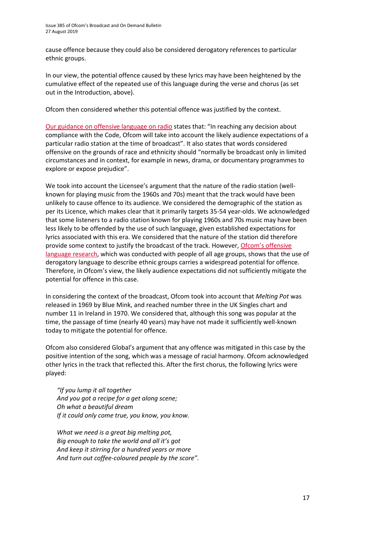cause offence because they could also be considered derogatory references to particular ethnic groups.

In our view, the potential offence caused by these lyrics may have been heightened by the cumulative effect of the repeated use of this language during the verse and chorus (as set out in the Introduction, above).

Ofcom then considered whether this potential offence was justified by the context.

[Our guidance on offensive language on radio](https://www.ofcom.org.uk/__data/assets/pdf_file/0014/40541/offensive-language.pdf) states that: "In reaching any decision about compliance with the Code, Ofcom will take into account the likely audience expectations of a particular radio station at the time of broadcast". It also states that words considered offensive on the grounds of race and ethnicity should "normally be broadcast only in limited circumstances and in context, for example in news, drama, or documentary programmes to explore or expose prejudice".

We took into account the Licensee's argument that the nature of the radio station (wellknown for playing music from the 1960s and 70s) meant that the track would have been unlikely to cause offence to its audience. We considered the demographic of the station as per its Licence, which makes clear that it primarily targets 35-54 year-olds. We acknowledged that some listeners to a radio station known for playing 1960s and 70s music may have been less likely to be offended by the use of such language, given established expectations for lyrics associated with this era. We considered that the nature of the station did therefore provide some context to justify the broadcast of the track. However, Ofcom's offensive [language research,](https://www.ofcom.org.uk/__data/assets/pdf_file/0022/91624/OfcomOffensiveLanguage.pdf) which was conducted with people of all age groups, shows that the use of derogatory language to describe ethnic groups carries a widespread potential for offence. Therefore, in Ofcom's view, the likely audience expectations did not sufficiently mitigate the potential for offence in this case.

In considering the context of the broadcast, Ofcom took into account that *Melting Pot* was released in 1969 by Blue Mink, and reached number three in the UK Singles chart and number 11 in Ireland in 1970. We considered that, although this song was popular at the time, the passage of time (nearly 40 years) may have not made it sufficiently well-known today to mitigate the potential for offence.

Ofcom also considered Global's argument that any offence was mitigated in this case by the positive intention of the song, which was a message of racial harmony. Ofcom acknowledged other lyrics in the track that reflected this. After the first chorus, the following lyrics were played:

*"If you lump it all together And you got a recipe for a get along scene; Oh what a beautiful dream If it could only come true, you know, you know.*

*What we need is a great big melting pot, Big enough to take the world and all it's got And keep it stirring for a hundred years or more And turn out coffee-coloured people by the score".*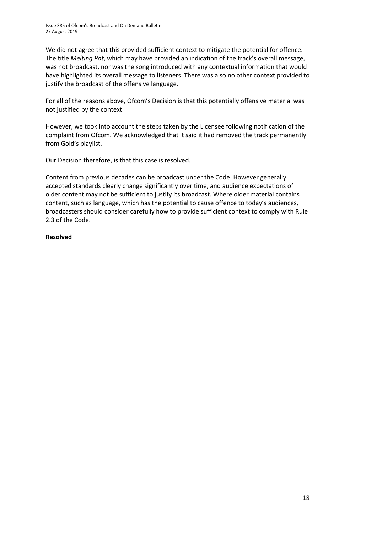We did not agree that this provided sufficient context to mitigate the potential for offence. The title *Melting Pot*, which may have provided an indication of the track's overall message, was not broadcast, nor was the song introduced with any contextual information that would have highlighted its overall message to listeners. There was also no other context provided to justify the broadcast of the offensive language.

For all of the reasons above, Ofcom's Decision is that this potentially offensive material was not justified by the context.

However, we took into account the steps taken by the Licensee following notification of the complaint from Ofcom. We acknowledged that it said it had removed the track permanently from Gold's playlist.

Our Decision therefore, is that this case is resolved.

Content from previous decades can be broadcast under the Code. However generally accepted standards clearly change significantly over time, and audience expectations of older content may not be sufficient to justify its broadcast. Where older material contains content, such as language, which has the potential to cause offence to today's audiences, broadcasters should consider carefully how to provide sufficient context to comply with Rule 2.3 of the Code.

#### **Resolved**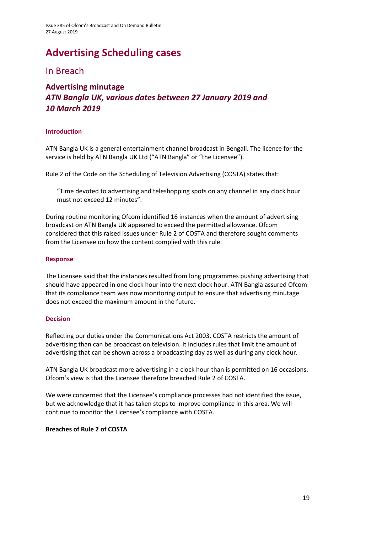# **Advertising Scheduling cases**

### In Breach

**Advertising minutage**  *ATN Bangla UK, various dates between 27 January 2019 and 10 March 2019*

### **Introduction**

ATN Bangla UK is a general entertainment channel broadcast in Bengali. The licence for the service is held by ATN Bangla UK Ltd ("ATN Bangla" or "the Licensee").

Rule 2 of the Code on the Scheduling of Television Advertising (COSTA) states that:

"Time devoted to advertising and teleshopping spots on any channel in any clock hour must not exceed 12 minutes".

During routine monitoring Ofcom identified 16 instances when the amount of advertising broadcast on ATN Bangla UK appeared to exceed the permitted allowance. Ofcom considered that this raised issues under Rule 2 of COSTA and therefore sought comments from the Licensee on how the content complied with this rule.

### **Response**

The Licensee said that the instances resulted from long programmes pushing advertising that should have appeared in one clock hour into the next clock hour. ATN Bangla assured Ofcom that its compliance team was now monitoring output to ensure that advertising minutage does not exceed the maximum amount in the future.

### **Decision**

Reflecting our duties under the Communications Act 2003, COSTA restricts the amount of advertising than can be broadcast on television. It includes rules that limit the amount of advertising that can be shown across a broadcasting day as well as during any clock hour.

ATN Bangla UK broadcast more advertising in a clock hour than is permitted on 16 occasions. Ofcom's view is that the Licensee therefore breached Rule 2 of COSTA.

We were concerned that the Licensee's compliance processes had not identified the issue, but we acknowledge that it has taken steps to improve compliance in this area. We will continue to monitor the Licensee's compliance with COSTA.

### **Breaches of Rule 2 of COSTA**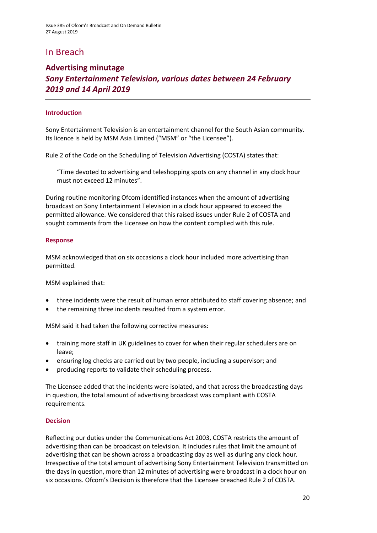### In Breach

### **Advertising minutage** *Sony Entertainment Television, various dates between 24 February 2019 and 14 April 2019*

#### **Introduction**

Sony Entertainment Television is an entertainment channel for the South Asian community. Its licence is held by MSM Asia Limited ("MSM" or "the Licensee").

Rule 2 of the Code on the Scheduling of Television Advertising (COSTA) states that:

"Time devoted to advertising and teleshopping spots on any channel in any clock hour must not exceed 12 minutes".

During routine monitoring Ofcom identified instances when the amount of advertising broadcast on Sony Entertainment Television in a clock hour appeared to exceed the permitted allowance. We considered that this raised issues under Rule 2 of COSTA and sought comments from the Licensee on how the content complied with this rule.

#### **Response**

MSM acknowledged that on six occasions a clock hour included more advertising than permitted.

MSM explained that:

- three incidents were the result of human error attributed to staff covering absence; and
- the remaining three incidents resulted from a system error.

MSM said it had taken the following corrective measures:

- training more staff in UK guidelines to cover for when their regular schedulers are on leave;
- ensuring log checks are carried out by two people, including a supervisor; and
- producing reports to validate their scheduling process.

The Licensee added that the incidents were isolated, and that across the broadcasting days in question, the total amount of advertising broadcast was compliant with COSTA requirements.

#### **Decision**

Reflecting our duties under the Communications Act 2003, COSTA restricts the amount of advertising than can be broadcast on television. It includes rules that limit the amount of advertising that can be shown across a broadcasting day as well as during any clock hour. Irrespective of the total amount of advertising Sony Entertainment Television transmitted on the days in question, more than 12 minutes of advertising were broadcast in a clock hour on six occasions. Ofcom's Decision is therefore that the Licensee breached Rule 2 of COSTA.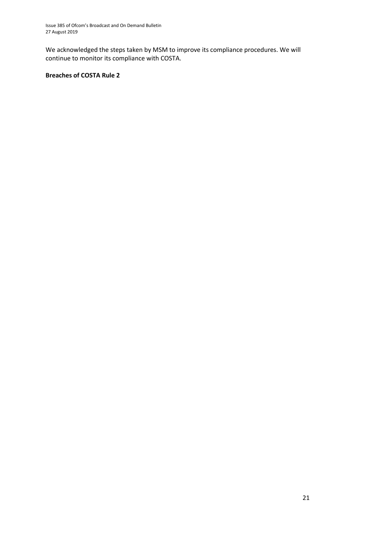We acknowledged the steps taken by MSM to improve its compliance procedures. We will continue to monitor its compliance with COSTA.

#### **Breaches of COSTA Rule 2**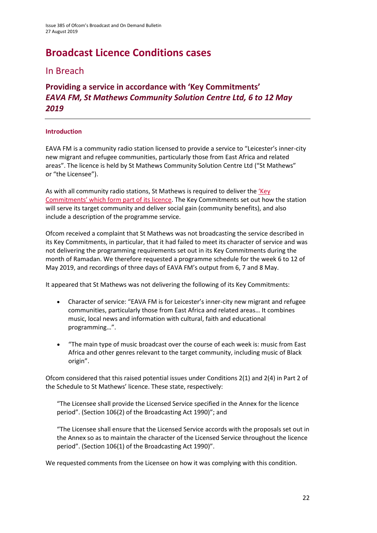# **Broadcast Licence Conditions cases**

### In Breach

**Providing a service in accordance with 'Key Commitments'** *EAVA FM, St Mathews Community Solution Centre Ltd, 6 to 12 May 2019*

### **Introduction**

EAVA FM is a community radio station licensed to provide a service to "Leicester's inner-city new migrant and refugee communities, particularly those from East Africa and related areas". The licence is held by St Mathews Community Solution Centre Ltd ("St Mathews" or "the Licensee").

As with all community radio stations, St Mathews is required to deliver the '[Key](http://static.ofcom.org.uk/static/radiolicensing/Community/commitments/cr000178.pdf)  [Commitments' which form part of its licence](http://static.ofcom.org.uk/static/radiolicensing/Community/commitments/cr000178.pdf). The Key Commitments set out how the station will serve its target community and deliver social gain (community benefits), and also include a description of the programme service.

Ofcom received a complaint that St Mathews was not broadcasting the service described in its Key Commitments, in particular, that it had failed to meet its character of service and was not delivering the programming requirements set out in its Key Commitments during the month of Ramadan. We therefore requested a programme schedule for the week 6 to 12 of May 2019, and recordings of three days of EAVA FM's output from 6, 7 and 8 May.

It appeared that St Mathews was not delivering the following of its Key Commitments:

- Character of service: "EAVA FM is for Leicester's inner-city new migrant and refugee communities, particularly those from East Africa and related areas… It combines music, local news and information with cultural, faith and educational programming…".
- "The main type of music broadcast over the course of each week is: music from East Africa and other genres relevant to the target community, including music of Black origin".

Ofcom considered that this raised potential issues under Conditions 2(1) and 2(4) in Part 2 of the Schedule to St Mathews' licence. These state, respectively:

"The Licensee shall provide the Licensed Service specified in the Annex for the licence period". (Section 106(2) of the Broadcasting Act 1990)"; and

"The Licensee shall ensure that the Licensed Service accords with the proposals set out in the Annex so as to maintain the character of the Licensed Service throughout the licence period". (Section 106(1) of the Broadcasting Act 1990)".

We requested comments from the Licensee on how it was complying with this condition.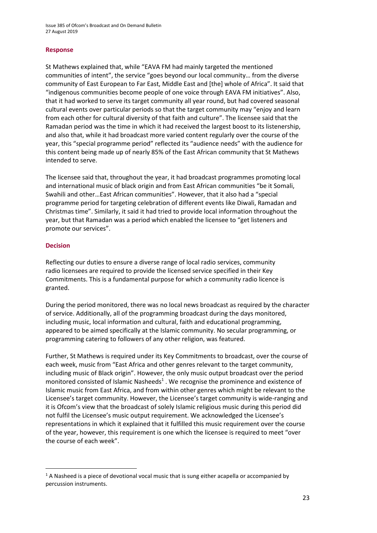#### **Response**

St Mathews explained that, while "EAVA FM had mainly targeted the mentioned communities of intent", the service "goes beyond our local community… from the diverse community of East European to Far East, Middle East and [the] whole of Africa". It said that "indigenous communities become people of one voice through EAVA FM initiatives". Also, that it had worked to serve its target community all year round, but had covered seasonal cultural events over particular periods so that the target community may "enjoy and learn from each other for cultural diversity of that faith and culture". The licensee said that the Ramadan period was the time in which it had received the largest boost to its listenership, and also that, while it had broadcast more varied content regularly over the course of the year, this "special programme period" reflected its "audience needs" with the audience for this content being made up of nearly 85% of the East African community that St Mathews intended to serve.

The licensee said that, throughout the year, it had broadcast programmes promoting local and international music of black origin and from East African communities "be it Somali, Swahili and other…East African communities". However, that it also had a "special programme period for targeting celebration of different events like Diwali, Ramadan and Christmas time". Similarly, it said it had tried to provide local information throughout the year, but that Ramadan was a period which enabled the licensee to "get listeners and promote our services".

#### **Decision**

1

Reflecting our duties to ensure a diverse range of local radio services, community radio licensees are required to provide the licensed service specified in their Key Commitments. This is a fundamental purpose for which a community radio licence is granted.

During the period monitored, there was no local news broadcast as required by the character of service. Additionally, all of the programming broadcast during the days monitored, including music, local information and cultural, faith and educational programming, appeared to be aimed specifically at the Islamic community. No secular programming, or programming catering to followers of any other religion, was featured.

Further, St Mathews is required under its Key Commitments to broadcast, over the course of each week, music from "East Africa and other genres relevant to the target community, including music of Black origin". However, the only music output broadcast over the period monitored consisted of Islamic Nasheeds<sup>1</sup>. We recognise the prominence and existence of Islamic music from East Africa, and from within other genres which might be relevant to the Licensee's target community. However, the Licensee's target community is wide-ranging and it is Ofcom's view that the broadcast of solely Islamic religious music during this period did not fulfil the Licensee's music output requirement. We acknowledged the Licensee's representations in which it explained that it fulfilled this music requirement over the course of the year, however, this requirement is one which the licensee is required to meet "over the course of each week".

 $1$  A Nasheed is a piece of devotional vocal music that is sung either acapella or accompanied by percussion instruments.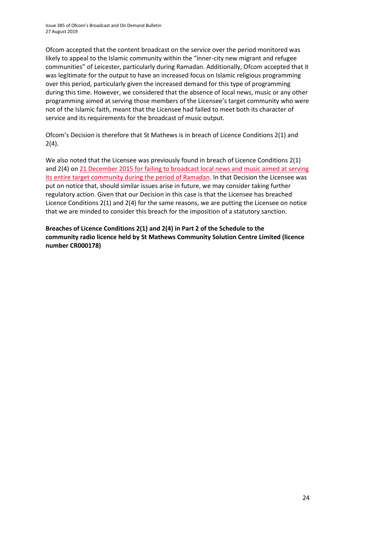Ofcom accepted that the content broadcast on the service over the period monitored was likely to appeal to the Islamic community within the "inner-city new migrant and refugee communities" of Leicester, particularly during Ramadan. Additionally, Ofcom accepted that it was legitimate for the output to have an increased focus on Islamic religious programming over this period, particularly given the increased demand for this type of programming during this time. However, we considered that the absence of local news, music or any other programming aimed at serving those members of the Licensee's target community who were not of the Islamic faith, meant that the Licensee had failed to meet both its character of service and its requirements for the broadcast of music output.

Ofcom's Decision is therefore that St Mathews is in breach of Licence Conditions 2(1) and 2(4).

We also noted that the Licensee was previously found in breach of Licence Conditions 2(1) and 2(4) on 21 December 2015 for failing to broadcast local news and music aimed at serving [its entire target community during the period of Ramadan.](https://www.ofcom.org.uk/__data/assets/pdf_file/0016/50290/issue_295.pdf) In that Decision the Licensee was put on notice that, should similar issues arise in future, we may consider taking further regulatory action. Given that our Decision in this case is that the Licensee has breached Licence Conditions 2(1) and 2(4) for the same reasons, we are putting the Licensee on notice that we are minded to consider this breach for the imposition of a statutory sanction.

**Breaches of Licence Conditions 2(1) and 2(4) in Part 2 of the Schedule to the community radio licence held by St Mathews Community Solution Centre Limited (licence number CR000178)**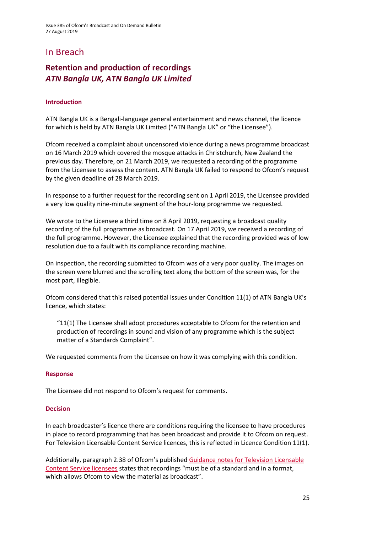### In Breach

### **Retention and production of recordings** *ATN Bangla UK, ATN Bangla UK Limited*

#### **Introduction**

ATN Bangla UK is a Bengali-language general entertainment and news channel, the licence for which is held by ATN Bangla UK Limited ("ATN Bangla UK" or "the Licensee").

Ofcom received a complaint about uncensored violence during a news programme broadcast on 16 March 2019 which covered the mosque attacks in Christchurch, New Zealand the previous day. Therefore, on 21 March 2019, we requested a recording of the programme from the Licensee to assess the content. ATN Bangla UK failed to respond to Ofcom's request by the given deadline of 28 March 2019.

In response to a further request for the recording sent on 1 April 2019, the Licensee provided a very low quality nine-minute segment of the hour-long programme we requested.

We wrote to the Licensee a third time on 8 April 2019, requesting a broadcast quality recording of the full programme as broadcast. On 17 April 2019, we received a recording of the full programme. However, the Licensee explained that the recording provided was of low resolution due to a fault with its compliance recording machine.

On inspection, the recording submitted to Ofcom was of a very poor quality. The images on the screen were blurred and the scrolling text along the bottom of the screen was, for the most part, illegible.

Ofcom considered that this raised potential issues under Condition 11(1) of ATN Bangla UK's licence, which states:

 $11(1)$  The Licensee shall adopt procedures acceptable to Ofcom for the retention and production of recordings in sound and vision of any programme which is the subject matter of a Standards Complaint".

We requested comments from the Licensee on how it was complying with this condition.

#### **Response**

The Licensee did not respond to Ofcom's request for comments.

#### **Decision**

In each broadcaster's licence there are conditions requiring the licensee to have procedures in place to record programming that has been broadcast and provide it to Ofcom on request. For Television Licensable Content Service licences, this is reflected in Licence Condition 11(1).

Additionally, paragraph 2.38 of Ofcom's published [Guidance notes for Television Licensable](https://www.ofcom.org.uk/__data/assets/pdf_file/0012/36201/tlcs_guidance_notes_for_licensees.pdf)  [Content Service](https://www.ofcom.org.uk/__data/assets/pdf_file/0012/36201/tlcs_guidance_notes_for_licensees.pdf) licensees states that recordings "must be of a standard and in a format, which allows Ofcom to view the material as broadcast".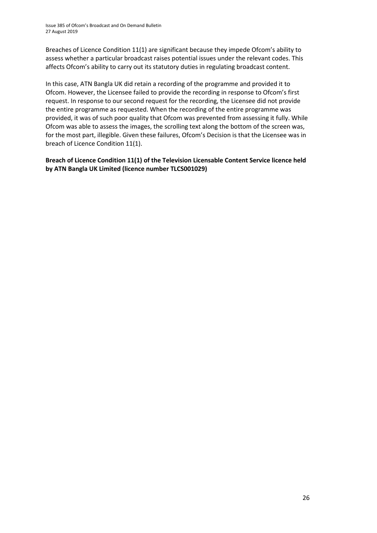Breaches of Licence Condition 11(1) are significant because they impede Ofcom's ability to assess whether a particular broadcast raises potential issues under the relevant codes. This affects Ofcom's ability to carry out its statutory duties in regulating broadcast content.

In this case, ATN Bangla UK did retain a recording of the programme and provided it to Ofcom. However, the Licensee failed to provide the recording in response to Ofcom's first request. In response to our second request for the recording, the Licensee did not provide the entire programme as requested. When the recording of the entire programme was provided, it was of such poor quality that Ofcom was prevented from assessing it fully. While Ofcom was able to assess the images, the scrolling text along the bottom of the screen was, for the most part, illegible. Given these failures, Ofcom's Decision is that the Licensee was in breach of Licence Condition 11(1).

**Breach of Licence Condition 11(1) of the Television Licensable Content Service licence held by ATN Bangla UK Limited (licence number TLCS001029)**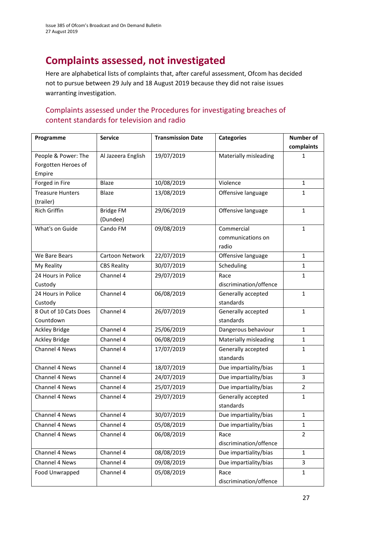## **Complaints assessed, not investigated**

Here are alphabetical lists of complaints that, after careful assessment, Ofcom has decided not to pursue between 29 July and 18 August 2019 because they did not raise issues warranting investigation.

### Complaints assessed under the Procedures for investigating breaches of content standards for television and radio

| Programme               | <b>Service</b>     | <b>Transmission Date</b> | <b>Categories</b>      | Number of      |
|-------------------------|--------------------|--------------------------|------------------------|----------------|
|                         |                    |                          |                        | complaints     |
| People & Power: The     | Al Jazeera English | 19/07/2019               | Materially misleading  | 1              |
| Forgotten Heroes of     |                    |                          |                        |                |
| Empire                  |                    |                          |                        |                |
| Forged in Fire          | Blaze              | 10/08/2019               | Violence               | $\mathbf{1}$   |
| <b>Treasure Hunters</b> | Blaze              | 13/08/2019               | Offensive language     | $\mathbf{1}$   |
| (trailer)               |                    |                          |                        |                |
| <b>Rich Griffin</b>     | <b>Bridge FM</b>   | 29/06/2019               | Offensive language     | $\mathbf{1}$   |
|                         | (Dundee)           |                          |                        |                |
| What's on Guide         | Cando FM           | 09/08/2019               | Commercial             | $\mathbf{1}$   |
|                         |                    |                          | communications on      |                |
|                         |                    |                          | radio                  |                |
| We Bare Bears           | Cartoon Network    | 22/07/2019               | Offensive language     | $\mathbf{1}$   |
| My Reality              | <b>CBS Reality</b> | 30/07/2019               | Scheduling             | $\mathbf{1}$   |
| 24 Hours in Police      | Channel 4          | 29/07/2019               | Race                   | $\mathbf{1}$   |
| Custody                 |                    |                          | discrimination/offence |                |
| 24 Hours in Police      | Channel 4          | 06/08/2019               | Generally accepted     | $\mathbf{1}$   |
| Custody                 |                    |                          | standards              |                |
| 8 Out of 10 Cats Does   | Channel 4          | 26/07/2019               | Generally accepted     | $\mathbf{1}$   |
| Countdown               |                    |                          | standards              |                |
| <b>Ackley Bridge</b>    | Channel 4          | 25/06/2019               | Dangerous behaviour    | $\mathbf{1}$   |
| <b>Ackley Bridge</b>    | Channel 4          | 06/08/2019               | Materially misleading  | $\mathbf{1}$   |
| Channel 4 News          | Channel 4          | 17/07/2019               | Generally accepted     | $\mathbf{1}$   |
|                         |                    |                          | standards              |                |
| Channel 4 News          | Channel 4          | 18/07/2019               | Due impartiality/bias  | $\mathbf{1}$   |
| Channel 4 News          | Channel 4          | 24/07/2019               | Due impartiality/bias  | 3              |
| Channel 4 News          | Channel 4          | 25/07/2019               | Due impartiality/bias  | $\overline{2}$ |
| Channel 4 News          | Channel 4          | 29/07/2019               | Generally accepted     | $\mathbf{1}$   |
|                         |                    |                          | standards              |                |
| Channel 4 News          | Channel 4          | 30/07/2019               | Due impartiality/bias  | 1              |
| Channel 4 News          | Channel 4          | 05/08/2019               | Due impartiality/bias  | $\mathbf{1}$   |
| Channel 4 News          | Channel 4          | 06/08/2019               | Race                   | $\overline{2}$ |
|                         |                    |                          | discrimination/offence |                |
| Channel 4 News          | Channel 4          | 08/08/2019               | Due impartiality/bias  | $\mathbf{1}$   |
| Channel 4 News          | Channel 4          | 09/08/2019               | Due impartiality/bias  | 3              |
| Food Unwrapped          | Channel 4          | 05/08/2019               | Race                   | $\mathbf 1$    |
|                         |                    |                          | discrimination/offence |                |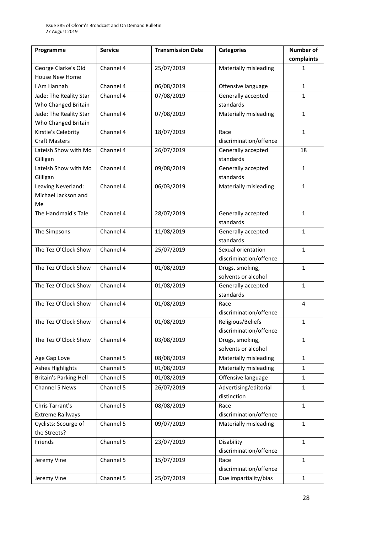| Programme                     | <b>Service</b> | <b>Transmission Date</b> | <b>Categories</b>      | <b>Number of</b> |
|-------------------------------|----------------|--------------------------|------------------------|------------------|
|                               |                |                          |                        | complaints       |
| George Clarke's Old           | Channel 4      | 25/07/2019               | Materially misleading  | 1                |
| <b>House New Home</b>         |                |                          |                        |                  |
| I Am Hannah                   | Channel 4      | 06/08/2019               | Offensive language     | $\mathbf{1}$     |
| Jade: The Reality Star        | Channel 4      | 07/08/2019               | Generally accepted     | $\mathbf{1}$     |
| Who Changed Britain           |                |                          | standards              |                  |
| Jade: The Reality Star        | Channel 4      | 07/08/2019               | Materially misleading  | $\mathbf{1}$     |
| Who Changed Britain           |                |                          |                        |                  |
| Kirstie's Celebrity           | Channel 4      | 18/07/2019               | Race                   | $\mathbf{1}$     |
| <b>Craft Masters</b>          |                |                          | discrimination/offence |                  |
| Lateish Show with Mo          | Channel 4      | 26/07/2019               | Generally accepted     | 18               |
| Gilligan                      |                |                          | standards              |                  |
| Lateish Show with Mo          | Channel 4      | 09/08/2019               | Generally accepted     | $\mathbf{1}$     |
| Gilligan                      |                |                          | standards              |                  |
| Leaving Neverland:            | Channel 4      | 06/03/2019               | Materially misleading  | $\mathbf{1}$     |
| Michael Jackson and           |                |                          |                        |                  |
| Me                            |                |                          |                        |                  |
| The Handmaid's Tale           | Channel 4      | 28/07/2019               | Generally accepted     | $\mathbf{1}$     |
|                               |                |                          | standards              |                  |
| The Simpsons                  | Channel 4      | 11/08/2019               | Generally accepted     | $\mathbf{1}$     |
|                               |                |                          | standards              |                  |
| The Tez O'Clock Show          | Channel 4      | 25/07/2019               | Sexual orientation     | $\mathbf{1}$     |
|                               |                |                          | discrimination/offence |                  |
| The Tez O'Clock Show          | Channel 4      | 01/08/2019               | Drugs, smoking,        | $\mathbf{1}$     |
|                               |                |                          | solvents or alcohol    |                  |
| The Tez O'Clock Show          | Channel 4      | 01/08/2019               | Generally accepted     | $\mathbf{1}$     |
|                               |                |                          | standards              |                  |
| The Tez O'Clock Show          | Channel 4      | 01/08/2019               | Race                   | 4                |
|                               |                |                          | discrimination/offence |                  |
| The Tez O'Clock Show          | Channel 4      | 01/08/2019               | Religious/Beliefs      | $\mathbf{1}$     |
|                               |                |                          | discrimination/offence |                  |
| The Tez O'Clock Show          | Channel 4      | 03/08/2019               | Drugs, smoking,        | $\mathbf{1}$     |
|                               |                |                          | solvents or alcohol    |                  |
| Age Gap Love                  | Channel 5      | 08/08/2019               | Materially misleading  | $\mathbf{1}$     |
| <b>Ashes Highlights</b>       | Channel 5      | 01/08/2019               | Materially misleading  | $\mathbf{1}$     |
| <b>Britain's Parking Hell</b> | Channel 5      | 01/08/2019               | Offensive language     | $\mathbf{1}$     |
| Channel 5 News                | Channel 5      | 26/07/2019               | Advertising/editorial  | $\mathbf{1}$     |
|                               |                |                          | distinction            |                  |
| Chris Tarrant's               | Channel 5      | 08/08/2019               | Race                   | $\mathbf{1}$     |
| <b>Extreme Railways</b>       |                |                          | discrimination/offence |                  |
| Cyclists: Scourge of          | Channel 5      | 09/07/2019               | Materially misleading  | $\mathbf{1}$     |
| the Streets?                  |                |                          |                        |                  |
| Friends                       | Channel 5      | 23/07/2019               | Disability             | $\mathbf{1}$     |
|                               |                |                          | discrimination/offence |                  |
| Jeremy Vine                   | Channel 5      | 15/07/2019               | Race                   | $\mathbf{1}$     |
|                               |                |                          | discrimination/offence |                  |
| Jeremy Vine                   | Channel 5      | 25/07/2019               | Due impartiality/bias  | $\mathbf{1}$     |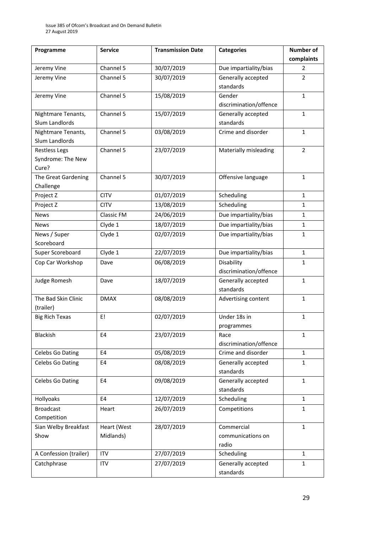| Programme                          | <b>Service</b> | <b>Transmission Date</b> | <b>Categories</b>      | <b>Number of</b> |
|------------------------------------|----------------|--------------------------|------------------------|------------------|
|                                    |                |                          |                        | complaints       |
| Jeremy Vine                        | Channel 5      | 30/07/2019               | Due impartiality/bias  | $\overline{2}$   |
| Jeremy Vine                        | Channel 5      | 30/07/2019               | Generally accepted     | $\overline{2}$   |
|                                    |                |                          | standards              |                  |
| Jeremy Vine                        | Channel 5      | 15/08/2019               | Gender                 | $\mathbf{1}$     |
|                                    |                |                          | discrimination/offence |                  |
| Nightmare Tenants,                 | Channel 5      | 15/07/2019               | Generally accepted     | $\mathbf{1}$     |
| Slum Landlords                     |                |                          | standards              |                  |
| Nightmare Tenants,                 | Channel 5      | 03/08/2019               | Crime and disorder     | $\mathbf{1}$     |
| Slum Landlords                     |                |                          |                        |                  |
| <b>Restless Legs</b>               | Channel 5      | 23/07/2019               | Materially misleading  | $\overline{2}$   |
| Syndrome: The New                  |                |                          |                        |                  |
| Cure?                              |                |                          |                        |                  |
| The Great Gardening                | Channel 5      | 30/07/2019               | Offensive language     | $\mathbf{1}$     |
| Challenge                          |                |                          |                        |                  |
| Project Z                          | <b>CITV</b>    | 01/07/2019               | Scheduling             | $\mathbf{1}$     |
| Project Z                          | <b>CITV</b>    | 13/08/2019               | Scheduling             | $\mathbf{1}$     |
| <b>News</b>                        | Classic FM     | 24/06/2019               | Due impartiality/bias  | $\mathbf{1}$     |
| <b>News</b>                        | Clyde 1        | 18/07/2019               | Due impartiality/bias  | $\mathbf{1}$     |
| News / Super                       | Clyde 1        | 02/07/2019               | Due impartiality/bias  | $\mathbf{1}$     |
| Scoreboard                         |                |                          |                        |                  |
| Super Scoreboard                   | Clyde 1        | 22/07/2019               | Due impartiality/bias  | $\mathbf{1}$     |
| Cop Car Workshop                   | Dave           | 06/08/2019               | Disability             | 1                |
|                                    |                |                          | discrimination/offence |                  |
| Judge Romesh                       | Dave           | 18/07/2019               | Generally accepted     | $\mathbf{1}$     |
|                                    |                |                          | standards              |                  |
| The Bad Skin Clinic                | <b>DMAX</b>    | 08/08/2019               | Advertising content    | $\mathbf{1}$     |
| (trailer)<br><b>Big Rich Texas</b> | E!             | 02/07/2019               | Under 18s in           | $\mathbf{1}$     |
|                                    |                |                          | programmes             |                  |
| Blackish                           | E4             | 23/07/2019               | Race                   | $\mathbf{1}$     |
|                                    |                |                          | discrimination/offence |                  |
| Celebs Go Dating                   | E4             | 05/08/2019               | Crime and disorder     | $\mathbf{1}$     |
| Celebs Go Dating                   | E4             | 08/08/2019               | Generally accepted     | $\mathbf{1}$     |
|                                    |                |                          | standards              |                  |
| Celebs Go Dating                   | E4             | 09/08/2019               | Generally accepted     | $\mathbf{1}$     |
|                                    |                |                          | standards              |                  |
| Hollyoaks                          | E <sub>4</sub> | 12/07/2019               | Scheduling             | $\mathbf{1}$     |
| <b>Broadcast</b>                   | Heart          | 26/07/2019               | Competitions           | $\mathbf{1}$     |
| Competition                        |                |                          |                        |                  |
| Sian Welby Breakfast               | Heart (West    | 28/07/2019               | Commercial             | $\mathbf{1}$     |
| Show                               | Midlands)      |                          | communications on      |                  |
|                                    |                |                          | radio                  |                  |
| A Confession (trailer)             | <b>ITV</b>     | 27/07/2019               | Scheduling             | $\mathbf{1}$     |
| Catchphrase                        | <b>ITV</b>     | 27/07/2019               | Generally accepted     | $\mathbf{1}$     |
|                                    |                |                          | standards              |                  |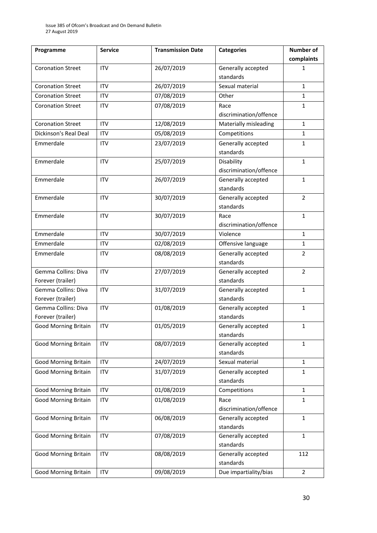| Programme                                | <b>Service</b> | <b>Transmission Date</b> | <b>Categories</b>               | Number of      |
|------------------------------------------|----------------|--------------------------|---------------------------------|----------------|
|                                          |                |                          |                                 | complaints     |
| <b>Coronation Street</b>                 | <b>ITV</b>     | 26/07/2019               | Generally accepted              | $\mathbf{1}$   |
|                                          |                |                          | standards                       |                |
| <b>Coronation Street</b>                 | <b>ITV</b>     | 26/07/2019               | Sexual material                 | $\mathbf{1}$   |
| <b>Coronation Street</b>                 | <b>ITV</b>     | 07/08/2019               | Other                           | $\mathbf{1}$   |
| <b>Coronation Street</b>                 | <b>ITV</b>     | 07/08/2019               | Race                            | $\mathbf{1}$   |
|                                          |                |                          | discrimination/offence          |                |
| <b>Coronation Street</b>                 | <b>ITV</b>     | 12/08/2019               | Materially misleading           | $\mathbf{1}$   |
| Dickinson's Real Deal                    | <b>ITV</b>     | 05/08/2019               | Competitions                    | $\mathbf{1}$   |
| Emmerdale                                | <b>ITV</b>     | 23/07/2019               | Generally accepted              | $\mathbf{1}$   |
|                                          |                |                          | standards                       |                |
| Emmerdale                                | <b>ITV</b>     | 25/07/2019               | Disability                      | $\mathbf{1}$   |
|                                          |                |                          | discrimination/offence          |                |
| Emmerdale                                | <b>ITV</b>     | 26/07/2019               | Generally accepted              | $\mathbf{1}$   |
|                                          |                |                          | standards                       |                |
| Emmerdale                                | <b>ITV</b>     | 30/07/2019               | Generally accepted              | $\overline{2}$ |
|                                          |                |                          | standards                       |                |
| Emmerdale                                | <b>ITV</b>     | 30/07/2019               | Race                            | $\mathbf{1}$   |
|                                          |                |                          | discrimination/offence          |                |
| Emmerdale                                | <b>ITV</b>     | 30/07/2019               | Violence                        | $\mathbf{1}$   |
| Emmerdale                                | <b>ITV</b>     | 02/08/2019               | Offensive language              | $\mathbf{1}$   |
| Emmerdale                                | <b>ITV</b>     | 08/08/2019               | Generally accepted              | $\overline{2}$ |
|                                          |                |                          | standards                       |                |
| Gemma Collins: Diva                      | <b>ITV</b>     | 27/07/2019               | Generally accepted              | $\overline{2}$ |
| Forever (trailer)<br>Gemma Collins: Diva |                |                          | standards                       |                |
| Forever (trailer)                        | <b>ITV</b>     | 31/07/2019               | Generally accepted<br>standards | $\mathbf{1}$   |
| Gemma Collins: Diva                      | <b>ITV</b>     | 01/08/2019               | Generally accepted              | $\mathbf{1}$   |
| Forever (trailer)                        |                |                          | standards                       |                |
| <b>Good Morning Britain</b>              | <b>ITV</b>     | 01/05/2019               | Generally accepted              | $\mathbf{1}$   |
|                                          |                |                          | standards                       |                |
| <b>Good Morning Britain</b>              | <b>ITV</b>     | 08/07/2019               | Generally accepted              | $\mathbf{1}$   |
|                                          |                |                          | standards                       |                |
| <b>Good Morning Britain</b>              | <b>ITV</b>     | 24/07/2019               | Sexual material                 | $\mathbf{1}$   |
| <b>Good Morning Britain</b>              | <b>ITV</b>     | 31/07/2019               | Generally accepted              | 1              |
|                                          |                |                          | standards                       |                |
| <b>Good Morning Britain</b>              | <b>ITV</b>     | 01/08/2019               | Competitions                    | $\mathbf{1}$   |
| <b>Good Morning Britain</b>              | <b>ITV</b>     | 01/08/2019               | Race                            | $\mathbf{1}$   |
|                                          |                |                          | discrimination/offence          |                |
| <b>Good Morning Britain</b>              | <b>ITV</b>     | 06/08/2019               | Generally accepted              | $\mathbf{1}$   |
|                                          |                |                          | standards                       |                |
| <b>Good Morning Britain</b>              | <b>ITV</b>     | 07/08/2019               | Generally accepted              | $\mathbf{1}$   |
|                                          |                |                          | standards                       |                |
| <b>Good Morning Britain</b>              | <b>ITV</b>     | 08/08/2019               | Generally accepted              | 112            |
|                                          |                |                          | standards                       |                |
| <b>Good Morning Britain</b>              | <b>ITV</b>     | 09/08/2019               | Due impartiality/bias           | $\overline{2}$ |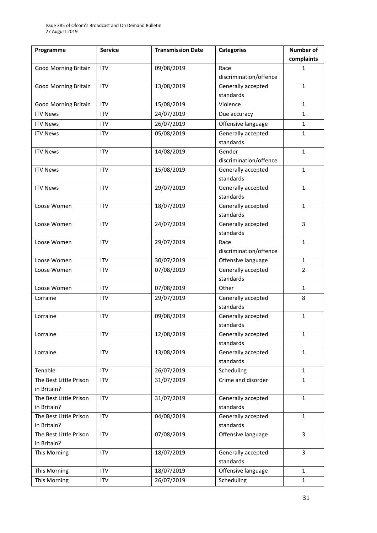| Programme                   | <b>Service</b> | <b>Transmission Date</b> | <b>Categories</b>               | <b>Number of</b> |
|-----------------------------|----------------|--------------------------|---------------------------------|------------------|
|                             |                |                          |                                 | complaints       |
| <b>Good Morning Britain</b> | <b>ITV</b>     | 09/08/2019               | Race                            | 1                |
|                             |                |                          | discrimination/offence          |                  |
| <b>Good Morning Britain</b> | <b>ITV</b>     | 13/08/2019               | Generally accepted              | $\mathbf{1}$     |
|                             |                |                          | standards                       |                  |
| <b>Good Morning Britain</b> | <b>ITV</b>     | 15/08/2019               | Violence                        | $\mathbf{1}$     |
| <b>ITV News</b>             | <b>ITV</b>     | 24/07/2019               | Due accuracy                    | $\mathbf{1}$     |
| <b>ITV News</b>             | <b>ITV</b>     | 26/07/2019               | Offensive language              | $\mathbf{1}$     |
| <b>ITV News</b>             | <b>ITV</b>     | 05/08/2019               | Generally accepted              | $\mathbf{1}$     |
|                             |                |                          | standards                       |                  |
| <b>ITV News</b>             | <b>ITV</b>     | 14/08/2019               | Gender                          | $\mathbf{1}$     |
|                             |                |                          | discrimination/offence          |                  |
| <b>ITV News</b>             | <b>ITV</b>     | 15/08/2019               | Generally accepted              | $\mathbf{1}$     |
|                             |                |                          | standards                       |                  |
| <b>ITV News</b>             | <b>ITV</b>     | 29/07/2019               | Generally accepted              | $\mathbf{1}$     |
|                             |                |                          | standards                       |                  |
| Loose Women                 | <b>ITV</b>     | 18/07/2019               | Generally accepted              | $\mathbf{1}$     |
|                             |                |                          | standards                       |                  |
| Loose Women                 | <b>ITV</b>     | 24/07/2019               | Generally accepted              | 3                |
|                             |                |                          | standards                       |                  |
| Loose Women                 | <b>ITV</b>     | 29/07/2019               | Race                            | $\mathbf{1}$     |
|                             |                |                          | discrimination/offence          |                  |
| Loose Women                 | <b>ITV</b>     | 30/07/2019               | Offensive language              | $\mathbf{1}$     |
| Loose Women                 | <b>ITV</b>     | 07/08/2019               | Generally accepted              | $\overline{2}$   |
|                             |                |                          | standards                       |                  |
| Loose Women                 | <b>ITV</b>     | 07/08/2019               | Other                           | $\mathbf{1}$     |
| Lorraine                    | <b>ITV</b>     | 29/07/2019               | Generally accepted              | 8                |
|                             |                |                          | standards                       |                  |
| Lorraine                    | <b>ITV</b>     | 09/08/2019               | Generally accepted              | $\mathbf{1}$     |
|                             |                |                          | standards                       |                  |
| Lorraine                    | <b>ITV</b>     | 12/08/2019               | Generally accepted<br>standards | $\mathbf{1}$     |
| Lorraine                    | <b>ITV</b>     | 13/08/2019               | Generally accepted              | $\mathbf{1}$     |
|                             |                |                          | standards                       |                  |
| Tenable                     | ITV            | 26/07/2019               | Scheduling                      | $\mathbf{1}$     |
| The Best Little Prison      | <b>ITV</b>     | 31/07/2019               | Crime and disorder              | $\mathbf{1}$     |
| in Britain?                 |                |                          |                                 |                  |
| The Best Little Prison      | <b>ITV</b>     | 31/07/2019               | Generally accepted              | $\mathbf{1}$     |
| in Britain?                 |                |                          | standards                       |                  |
| The Best Little Prison      | <b>ITV</b>     | 04/08/2019               | Generally accepted              | $\mathbf{1}$     |
| in Britain?                 |                |                          | standards                       |                  |
| The Best Little Prison      | <b>ITV</b>     | 07/08/2019               | Offensive language              | 3                |
| in Britain?                 |                |                          |                                 |                  |
| This Morning                | <b>ITV</b>     | 18/07/2019               | Generally accepted              | 3                |
|                             |                |                          | standards                       |                  |
| This Morning                | <b>ITV</b>     | 18/07/2019               | Offensive language              | $\mathbf{1}$     |
| This Morning                | ITV            | 26/07/2019               | Scheduling                      | $\mathbf{1}$     |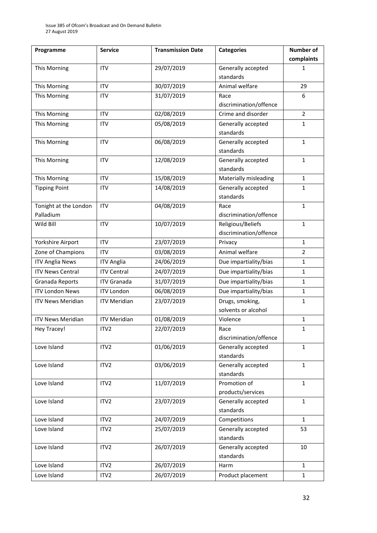| Programme                | <b>Service</b>      | <b>Transmission Date</b> | <b>Categories</b>      | <b>Number of</b> |
|--------------------------|---------------------|--------------------------|------------------------|------------------|
|                          |                     |                          |                        | complaints       |
| This Morning             | <b>ITV</b>          | 29/07/2019               | Generally accepted     | 1                |
|                          |                     |                          | standards              |                  |
| This Morning             | <b>ITV</b>          | 30/07/2019               | Animal welfare         | 29               |
| This Morning             | <b>ITV</b>          | 31/07/2019               | Race                   | 6                |
|                          |                     |                          | discrimination/offence |                  |
| This Morning             | <b>ITV</b>          | 02/08/2019               | Crime and disorder     | $\overline{2}$   |
| This Morning             | <b>ITV</b>          | 05/08/2019               | Generally accepted     | $\mathbf{1}$     |
|                          |                     |                          | standards              |                  |
| This Morning             | <b>ITV</b>          | 06/08/2019               | Generally accepted     | $\mathbf{1}$     |
|                          |                     |                          | standards              |                  |
| This Morning             | <b>ITV</b>          | 12/08/2019               | Generally accepted     | $\mathbf{1}$     |
|                          |                     |                          | standards              |                  |
| This Morning             | <b>ITV</b>          | 15/08/2019               | Materially misleading  | $\mathbf{1}$     |
| <b>Tipping Point</b>     | <b>ITV</b>          | 14/08/2019               | Generally accepted     | $\mathbf{1}$     |
|                          |                     |                          | standards              |                  |
| Tonight at the London    | <b>ITV</b>          | 04/08/2019               | Race                   | $\mathbf{1}$     |
| Palladium                |                     |                          | discrimination/offence |                  |
| Wild Bill                | <b>ITV</b>          | 10/07/2019               | Religious/Beliefs      | $\mathbf{1}$     |
|                          |                     |                          | discrimination/offence |                  |
| Yorkshire Airport        | <b>ITV</b>          | 23/07/2019               | Privacy                | $\mathbf{1}$     |
| Zone of Champions        | <b>ITV</b>          | 03/08/2019               | Animal welfare         | $\overline{2}$   |
| <b>ITV Anglia News</b>   | <b>ITV Anglia</b>   | 24/06/2019               | Due impartiality/bias  | $\mathbf{1}$     |
| <b>ITV News Central</b>  | <b>ITV Central</b>  | 24/07/2019               | Due impartiality/bias  | $\mathbf{1}$     |
| Granada Reports          | <b>ITV Granada</b>  | 31/07/2019               | Due impartiality/bias  | $\mathbf{1}$     |
| <b>ITV London News</b>   | <b>ITV London</b>   | 06/08/2019               | Due impartiality/bias  | $\mathbf{1}$     |
| <b>ITV News Meridian</b> | <b>ITV Meridian</b> | 23/07/2019               | Drugs, smoking,        | $\mathbf{1}$     |
|                          |                     |                          | solvents or alcohol    |                  |
| <b>ITV News Meridian</b> | <b>ITV Meridian</b> | 01/08/2019               | Violence               | $\mathbf{1}$     |
| Hey Tracey!              | ITV2                | 22/07/2019               | Race                   | $\mathbf 1$      |
|                          |                     |                          | discrimination/offence |                  |
| Love Island              | ITV2                | 01/06/2019               | Generally accepted     | $\mathbf{1}$     |
|                          |                     |                          | standards              |                  |
| Love Island              | ITV2                | 03/06/2019               | Generally accepted     | $\mathbf{1}$     |
|                          |                     |                          | standards              |                  |
| Love Island              | ITV <sub>2</sub>    | 11/07/2019               | Promotion of           | $\mathbf{1}$     |
|                          |                     |                          | products/services      |                  |
| Love Island              | ITV <sub>2</sub>    | 23/07/2019               | Generally accepted     | $\mathbf{1}$     |
|                          |                     |                          | standards              |                  |
| Love Island              | ITV2                | 24/07/2019               | Competitions           | $\mathbf{1}$     |
| Love Island              | ITV <sub>2</sub>    | 25/07/2019               | Generally accepted     | 53               |
|                          |                     |                          | standards              |                  |
| Love Island              | ITV2                | 26/07/2019               | Generally accepted     | 10               |
|                          |                     |                          | standards              |                  |
| Love Island              | ITV2                | 26/07/2019               | Harm                   | $\mathbf{1}$     |
| Love Island              | ITV <sub>2</sub>    | 26/07/2019               | Product placement      | $\mathbf{1}$     |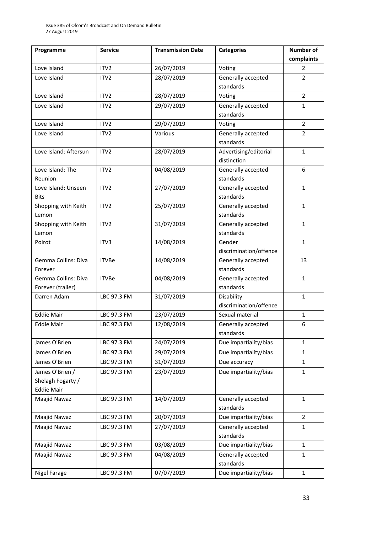| Programme                    | <b>Service</b>   | <b>Transmission Date</b> | <b>Categories</b>               | <b>Number of</b> |
|------------------------------|------------------|--------------------------|---------------------------------|------------------|
|                              |                  |                          |                                 | complaints       |
| Love Island                  | ITV2             | 26/07/2019               | Voting                          | $\overline{2}$   |
| Love Island                  | ITV <sub>2</sub> | 28/07/2019               | Generally accepted              | $\overline{2}$   |
|                              |                  |                          | standards                       |                  |
| Love Island                  | ITV2             | 28/07/2019               | Voting                          | $\overline{2}$   |
| Love Island                  | ITV <sub>2</sub> | 29/07/2019               | Generally accepted              | $\mathbf{1}$     |
|                              |                  |                          | standards                       |                  |
| Love Island                  | ITV <sub>2</sub> | 29/07/2019               | Voting                          | $\overline{2}$   |
| Love Island                  | ITV <sub>2</sub> | Various                  | Generally accepted              | $\overline{2}$   |
|                              |                  |                          | standards                       |                  |
| Love Island: Aftersun        | ITV <sub>2</sub> | 28/07/2019               | Advertising/editorial           | $\mathbf{1}$     |
|                              |                  |                          | distinction                     |                  |
| Love Island: The             | ITV <sub>2</sub> | 04/08/2019               | Generally accepted              | 6                |
| Reunion                      |                  |                          | standards                       |                  |
| Love Island: Unseen          | ITV2             | 27/07/2019               | Generally accepted              | $\mathbf{1}$     |
| <b>Bits</b>                  |                  |                          | standards                       |                  |
| Shopping with Keith          | ITV <sub>2</sub> | 25/07/2019               | Generally accepted              | $\mathbf{1}$     |
| Lemon                        |                  |                          | standards                       |                  |
| Shopping with Keith<br>Lemon | ITV2             | 31/07/2019               | Generally accepted<br>standards | $\mathbf{1}$     |
| Poirot                       | ITV3             | 14/08/2019               | Gender                          | $\mathbf{1}$     |
|                              |                  |                          | discrimination/offence          |                  |
| Gemma Collins: Diva          | <b>ITVBe</b>     | 14/08/2019               | Generally accepted              | 13               |
| Forever                      |                  |                          | standards                       |                  |
| Gemma Collins: Diva          | <b>ITVBe</b>     | 04/08/2019               | Generally accepted              | $\mathbf{1}$     |
| Forever (trailer)            |                  |                          | standards                       |                  |
| Darren Adam                  | LBC 97.3 FM      | 31/07/2019               | Disability                      | $\mathbf{1}$     |
|                              |                  |                          | discrimination/offence          |                  |
| <b>Eddie Mair</b>            | LBC 97.3 FM      | 23/07/2019               | Sexual material                 | $\mathbf{1}$     |
| <b>Eddie Mair</b>            | LBC 97.3 FM      | 12/08/2019               | Generally accepted              | 6                |
|                              |                  |                          | standards                       |                  |
| James O'Brien                | LBC 97.3 FM      | 24/07/2019               | Due impartiality/bias           | $\mathbf{1}$     |
| James O'Brien                | LBC 97.3 FM      | 29/07/2019               | Due impartiality/bias           | $\mathbf{1}$     |
| James O'Brien                | LBC 97.3 FM      | 31/07/2019               | Due accuracy                    | 1                |
| James O'Brien /              | LBC 97.3 FM      | 23/07/2019               | Due impartiality/bias           | $\mathbf{1}$     |
| Shelagh Fogarty /            |                  |                          |                                 |                  |
| <b>Eddie Mair</b>            |                  |                          |                                 |                  |
| Maajid Nawaz                 | LBC 97.3 FM      | 14/07/2019               | Generally accepted              | $\mathbf{1}$     |
|                              |                  |                          | standards                       |                  |
| Maajid Nawaz                 | LBC 97.3 FM      | 20/07/2019               | Due impartiality/bias           | $\overline{2}$   |
| Maajid Nawaz                 | LBC 97.3 FM      | 27/07/2019               | Generally accepted              | $\mathbf{1}$     |
|                              |                  |                          | standards                       |                  |
| Maajid Nawaz                 | LBC 97.3 FM      | 03/08/2019               | Due impartiality/bias           | $\mathbf{1}$     |
| Maajid Nawaz                 | LBC 97.3 FM      | 04/08/2019               | Generally accepted              | $\mathbf{1}$     |
|                              |                  |                          | standards                       |                  |
| <b>Nigel Farage</b>          | LBC 97.3 FM      | 07/07/2019               | Due impartiality/bias           | $\mathbf{1}$     |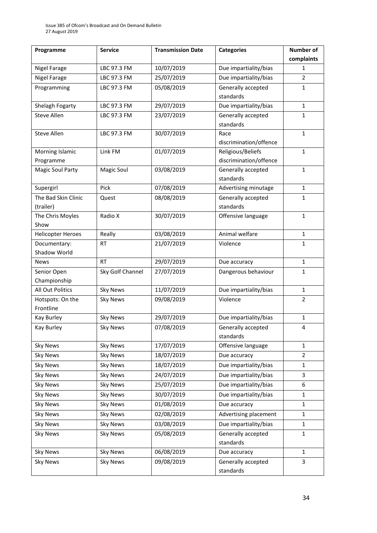| Programme                | <b>Service</b>   | <b>Transmission Date</b> | <b>Categories</b>                 | <b>Number of</b> |
|--------------------------|------------------|--------------------------|-----------------------------------|------------------|
|                          |                  |                          |                                   | complaints       |
| <b>Nigel Farage</b>      | LBC 97.3 FM      | 10/07/2019               | Due impartiality/bias             | 1                |
| <b>Nigel Farage</b>      | LBC 97.3 FM      | 25/07/2019               | Due impartiality/bias             | $\overline{2}$   |
| Programming              | LBC 97.3 FM      | 05/08/2019               | Generally accepted                | $\mathbf{1}$     |
|                          |                  |                          | standards                         |                  |
| Shelagh Fogarty          | LBC 97.3 FM      | 29/07/2019               | Due impartiality/bias             | $\mathbf{1}$     |
| <b>Steve Allen</b>       | LBC 97.3 FM      | 23/07/2019               | Generally accepted                | 1                |
|                          |                  |                          | standards                         |                  |
| <b>Steve Allen</b>       | LBC 97.3 FM      | 30/07/2019               | Race                              | $\mathbf{1}$     |
|                          |                  |                          | discrimination/offence            |                  |
| Morning Islamic          | Link FM          | 01/07/2019               | Religious/Beliefs                 | $\mathbf{1}$     |
| Programme                |                  |                          | discrimination/offence            |                  |
| <b>Magic Soul Party</b>  | Magic Soul       | 03/08/2019               | Generally accepted                | $\mathbf{1}$     |
| Supergirl                | Pick             | 07/08/2019               | standards<br>Advertising minutage | $\mathbf{1}$     |
| The Bad Skin Clinic      |                  |                          |                                   | $\mathbf{1}$     |
| (trailer)                | Quest            | 08/08/2019               | Generally accepted<br>standards   |                  |
| The Chris Moyles         | Radio X          | 30/07/2019               | Offensive language                | $\mathbf{1}$     |
| Show                     |                  |                          |                                   |                  |
| <b>Helicopter Heroes</b> | Really           | 03/08/2019               | Animal welfare                    | $\mathbf{1}$     |
| Documentary:             | <b>RT</b>        | 21/07/2019               | Violence                          | $\mathbf{1}$     |
| Shadow World             |                  |                          |                                   |                  |
| News                     | <b>RT</b>        | 29/07/2019               | Due accuracy                      | $\mathbf{1}$     |
| Senior Open              | Sky Golf Channel | 27/07/2019               | Dangerous behaviour               | $\mathbf{1}$     |
| Championship             |                  |                          |                                   |                  |
| All Out Politics         | <b>Sky News</b>  | 11/07/2019               | Due impartiality/bias             | $\mathbf{1}$     |
| Hotspots: On the         | <b>Sky News</b>  | 09/08/2019               | Violence                          | $\overline{2}$   |
| Frontline                |                  |                          |                                   |                  |
| Kay Burley               | <b>Sky News</b>  | 29/07/2019               | Due impartiality/bias             | $\mathbf{1}$     |
| Kay Burley               | <b>Sky News</b>  | 07/08/2019               | Generally accepted                | 4                |
|                          |                  |                          | standards                         |                  |
| <b>Sky News</b>          | <b>Sky News</b>  | 17/07/2019               | Offensive language                | $\mathbf{1}$     |
| <b>Sky News</b>          | <b>Sky News</b>  | 18/07/2019               | Due accuracy                      | $\overline{2}$   |
| <b>Sky News</b>          | <b>Sky News</b>  | 18/07/2019               | Due impartiality/bias             | $\mathbf{1}$     |
| <b>Sky News</b>          | <b>Sky News</b>  | 24/07/2019               | Due impartiality/bias             | 3                |
| <b>Sky News</b>          | <b>Sky News</b>  | 25/07/2019               | Due impartiality/bias             | 6                |
| <b>Sky News</b>          | <b>Sky News</b>  | 30/07/2019               | Due impartiality/bias             | $\mathbf{1}$     |
| <b>Sky News</b>          | <b>Sky News</b>  | 01/08/2019               | Due accuracy                      | $\mathbf{1}$     |
| <b>Sky News</b>          | <b>Sky News</b>  | 02/08/2019               | Advertising placement             | $\mathbf{1}$     |
| <b>Sky News</b>          | <b>Sky News</b>  | 03/08/2019               | Due impartiality/bias             | $\mathbf{1}$     |
| <b>Sky News</b>          | <b>Sky News</b>  | 05/08/2019               | Generally accepted                | $\mathbf{1}$     |
|                          |                  |                          | standards                         |                  |
| <b>Sky News</b>          | <b>Sky News</b>  | 06/08/2019               | Due accuracy                      | $\mathbf{1}$     |
| <b>Sky News</b>          | <b>Sky News</b>  | 09/08/2019               | Generally accepted                | 3                |
|                          |                  |                          | standards                         |                  |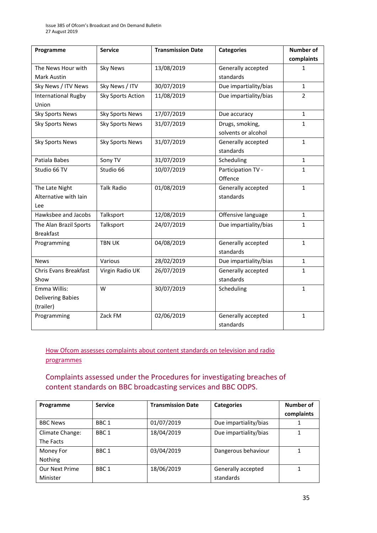| Programme                  | <b>Service</b>         | <b>Transmission Date</b> | <b>Categories</b>     | <b>Number of</b> |
|----------------------------|------------------------|--------------------------|-----------------------|------------------|
|                            |                        |                          |                       | complaints       |
| The News Hour with         | <b>Sky News</b>        | 13/08/2019               | Generally accepted    | $\mathbf{1}$     |
| Mark Austin                |                        |                          | standards             |                  |
| Sky News / ITV News        | Sky News / ITV         | 30/07/2019               | Due impartiality/bias | $\mathbf{1}$     |
| <b>International Rugby</b> | Sky Sports Action      | 11/08/2019               | Due impartiality/bias | $\overline{2}$   |
| Union                      |                        |                          |                       |                  |
| <b>Sky Sports News</b>     | Sky Sports News        | 17/07/2019               | Due accuracy          | $\mathbf{1}$     |
| <b>Sky Sports News</b>     | Sky Sports News        | 31/07/2019               | Drugs, smoking,       | $\mathbf{1}$     |
|                            |                        |                          | solvents or alcohol   |                  |
| <b>Sky Sports News</b>     | <b>Sky Sports News</b> | 31/07/2019               | Generally accepted    | $\mathbf{1}$     |
|                            |                        |                          | standards             |                  |
| Patiala Babes              | Sony TV                | 31/07/2019               | Scheduling            | $\mathbf{1}$     |
| Studio 66 TV               | Studio 66              | 10/07/2019               | Participation TV -    | $\mathbf{1}$     |
|                            |                        |                          | Offence               |                  |
| The Late Night             | <b>Talk Radio</b>      | 01/08/2019               | Generally accepted    | $\mathbf{1}$     |
| Alternative with Iain      |                        |                          | standards             |                  |
| Lee                        |                        |                          |                       |                  |
| Hawksbee and Jacobs        | Talksport              | 12/08/2019               | Offensive language    | $\mathbf{1}$     |
| The Alan Brazil Sports     | Talksport              | 24/07/2019               | Due impartiality/bias | $\mathbf{1}$     |
| <b>Breakfast</b>           |                        |                          |                       |                  |
| Programming                | <b>TBN UK</b>          | 04/08/2019               | Generally accepted    | $\mathbf{1}$     |
|                            |                        |                          | standards             |                  |
| <b>News</b>                | Various                | 28/02/2019               | Due impartiality/bias | $\mathbf{1}$     |
| Chris Evans Breakfast      | Virgin Radio UK        | 26/07/2019               | Generally accepted    | $\mathbf{1}$     |
| Show                       |                        |                          | standards             |                  |
| Emma Willis:               | W                      | 30/07/2019               | Scheduling            | $\mathbf{1}$     |
| <b>Delivering Babies</b>   |                        |                          |                       |                  |
| (trailer)                  |                        |                          |                       |                  |
| Programming                | Zack FM                | 02/06/2019               | Generally accepted    | $\mathbf{1}$     |
|                            |                        |                          | standards             |                  |

### How Ofcom assesses complaints about content standards on television and radio [programmes](https://www.ofcom.org.uk/__data/assets/pdf_file/0020/55109/breaches-content-standards.pdf)

### Complaints assessed under the Procedures for investigating breaches of content standards on BBC broadcasting services and BBC ODPS.

| Programme       | <b>Service</b>   | <b>Transmission Date</b> | <b>Categories</b>     | Number of  |
|-----------------|------------------|--------------------------|-----------------------|------------|
|                 |                  |                          |                       | complaints |
| <b>BBC News</b> | BBC <sub>1</sub> | 01/07/2019               | Due impartiality/bias |            |
| Climate Change: | BBC 1            | 18/04/2019               | Due impartiality/bias |            |
| The Facts       |                  |                          |                       |            |
| Money For       | BBC 1            | 03/04/2019               | Dangerous behaviour   |            |
| <b>Nothing</b>  |                  |                          |                       |            |
| Our Next Prime  | BBC <sub>1</sub> | 18/06/2019               | Generally accepted    |            |
| Minister        |                  |                          | standards             |            |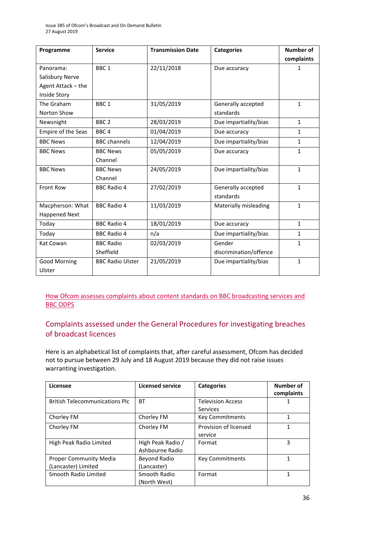| Programme            | <b>Service</b>          | <b>Transmission Date</b> | <b>Categories</b>      | <b>Number of</b> |
|----------------------|-------------------------|--------------------------|------------------------|------------------|
|                      |                         |                          |                        | complaints       |
| Panorama:            | BBC <sub>1</sub>        | 22/11/2018               | Due accuracy           | 1                |
| Salisbury Nerve      |                         |                          |                        |                  |
| Agent Attack - the   |                         |                          |                        |                  |
| Inside Story         |                         |                          |                        |                  |
| The Graham           | BBC <sub>1</sub>        | 31/05/2019               | Generally accepted     | $\mathbf{1}$     |
| Norton Show          |                         |                          | standards              |                  |
| Newsnight            | BBC <sub>2</sub>        | 28/03/2019               | Due impartiality/bias  | $\mathbf{1}$     |
| Empire of the Seas   | BBC <sub>4</sub>        | 01/04/2019               | Due accuracy           | $\mathbf{1}$     |
| <b>BBC News</b>      | <b>BBC</b> channels     | 12/04/2019               | Due impartiality/bias  | $\mathbf{1}$     |
| <b>BBC News</b>      | <b>BBC News</b>         | 05/05/2019               | Due accuracy           | $\mathbf{1}$     |
|                      | Channel                 |                          |                        |                  |
| <b>BBC News</b>      | <b>BBC News</b>         | 24/05/2019               | Due impartiality/bias  | $\mathbf{1}$     |
|                      | Channel                 |                          |                        |                  |
| Front Row            | <b>BBC Radio 4</b>      | 27/02/2019               | Generally accepted     | $\mathbf{1}$     |
|                      |                         |                          | standards              |                  |
| Macpherson: What     | <b>BBC Radio 4</b>      | 11/03/2019               | Materially misleading  | $\mathbf{1}$     |
| <b>Happened Next</b> |                         |                          |                        |                  |
| Today                | <b>BBC Radio 4</b>      | 18/01/2019               | Due accuracy           | $\mathbf{1}$     |
| Today                | <b>BBC Radio 4</b>      | n/a                      | Due impartiality/bias  | $\mathbf{1}$     |
| Kat Cowan            | <b>BBC Radio</b>        | 02/03/2019               | Gender                 | $\mathbf{1}$     |
|                      | Sheffield               |                          | discrimination/offence |                  |
| Good Morning         | <b>BBC Radio Ulster</b> | 21/05/2019               | Due impartiality/bias  | $\mathbf{1}$     |
| Ulster               |                         |                          |                        |                  |

[How Ofcom assesses complaints about content standards](https://www.ofcom.org.uk/__data/assets/pdf_file/0002/100100/Procedures-for-investigating-breaches-of-content-standards-on-BBC-broadcasting-services-and-BBC-on-demand-programme-services.pdf) on BBC broadcasting services and [BBC ODPS](https://www.ofcom.org.uk/__data/assets/pdf_file/0002/100100/Procedures-for-investigating-breaches-of-content-standards-on-BBC-broadcasting-services-and-BBC-on-demand-programme-services.pdf)

### Complaints assessed under the General Procedures for investigating breaches of broadcast licences

Here is an alphabetical list of complaints that, after careful assessment, Ofcom has decided not to pursue between 29 July and 18 August 2019 because they did not raise issues warranting investigation.

| Licensee                                             | <b>Licensed service</b>              | <b>Categories</b>                           | Number of<br>complaints |
|------------------------------------------------------|--------------------------------------|---------------------------------------------|-------------------------|
| <b>British Telecommunications Plc</b>                | <b>BT</b>                            | <b>Television Access</b><br><b>Services</b> |                         |
| Chorley FM                                           | Chorley FM                           | <b>Key Commitments</b>                      |                         |
| Chorley FM                                           | Chorley FM                           | Provision of licensed<br>service            |                         |
| High Peak Radio Limited                              | High Peak Radio /<br>Ashbourne Radio | Format                                      | 3                       |
| <b>Proper Community Media</b><br>(Lancaster) Limited | Beyond Radio<br>(Lancaster)          | <b>Key Commitments</b>                      | 1                       |
| Smooth Radio Limited                                 | Smooth Radio<br>(North West)         | Format                                      | 1                       |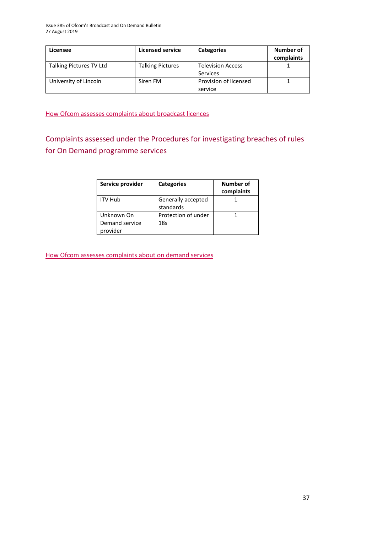Issue 385 of Ofcom's Broadcast and On Demand Bulletin 27 August 2019

| Licensee                       | <b>Licensed service</b> | <b>Categories</b>                    | Number of<br>complaints |
|--------------------------------|-------------------------|--------------------------------------|-------------------------|
| <b>Talking Pictures TV Ltd</b> | <b>Talking Pictures</b> | <b>Television Access</b><br>Services |                         |
| University of Lincoln          | Siren FM                | Provision of licensed<br>service     |                         |

[How Ofcom assesses complaints about broadcast licences](https://www.ofcom.org.uk/__data/assets/pdf_file/0019/31942/general-procedures.pdf)

### Complaints assessed under the Procedures for investigating breaches of rules for On Demand programme services

| Service provider                         | <b>Categories</b>                      | Number of<br>complaints |
|------------------------------------------|----------------------------------------|-------------------------|
| <b>ITV Hub</b>                           | Generally accepted<br>standards        |                         |
| Unknown On<br>Demand service<br>provider | Protection of under<br>18 <sub>S</sub> |                         |

[How Ofcom assesses complaints about on demand services](https://www.ofcom.org.uk/__data/assets/pdf_file/0033/74499/procedures-investigating-breaches.pdf)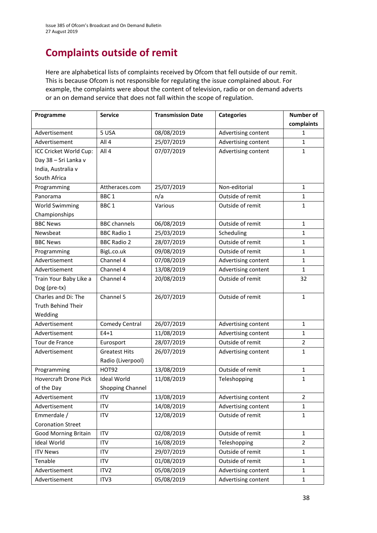# **Complaints outside of remit**

Here are alphabetical lists of complaints received by Ofcom that fell outside of our remit. This is because Ofcom is not responsible for regulating the issue complained about. For example, the complaints were about the content of television, radio or on demand adverts or an on demand service that does not fall within the scope of regulation.

| Programme                    | <b>Service</b>       | <b>Transmission Date</b> | <b>Categories</b>   | <b>Number of</b> |
|------------------------------|----------------------|--------------------------|---------------------|------------------|
|                              |                      |                          |                     | complaints       |
| Advertisement                | 5 USA                | 08/08/2019               | Advertising content | 1                |
| Advertisement                | All <sub>4</sub>     | 25/07/2019               | Advertising content | 1                |
| ICC Cricket World Cup:       | All 4                | 07/07/2019               | Advertising content | $\mathbf{1}$     |
| Day 38 - Sri Lanka v         |                      |                          |                     |                  |
| India, Australia v           |                      |                          |                     |                  |
| South Africa                 |                      |                          |                     |                  |
| Programming                  | Attheraces.com       | 25/07/2019               | Non-editorial       | 1                |
| Panorama                     | BBC <sub>1</sub>     | n/a                      | Outside of remit    | $\mathbf{1}$     |
| <b>World Swimming</b>        | BBC <sub>1</sub>     | Various                  | Outside of remit    | 1                |
| Championships                |                      |                          |                     |                  |
| <b>BBC News</b>              | <b>BBC</b> channels  | 06/08/2019               | Outside of remit    | $\mathbf{1}$     |
| Newsbeat                     | <b>BBC Radio 1</b>   | 25/03/2019               | Scheduling          | $\mathbf 1$      |
| <b>BBC News</b>              | <b>BBC Radio 2</b>   | 28/07/2019               | Outside of remit    | 1                |
| Programming                  | BigL.co.uk           | 09/08/2019               | Outside of remit    | $\mathbf{1}$     |
| Advertisement                | Channel 4            | 07/08/2019               | Advertising content | $\mathbf{1}$     |
| Advertisement                | Channel 4            | 13/08/2019               | Advertising content | $\mathbf{1}$     |
| Train Your Baby Like a       | Channel 4            | 20/08/2019               | Outside of remit    | 32               |
| Dog (pre-tx)                 |                      |                          |                     |                  |
| Charles and Di: The          | Channel 5            | 26/07/2019               | Outside of remit    | $\mathbf{1}$     |
| Truth Behind Their           |                      |                          |                     |                  |
| Wedding                      |                      |                          |                     |                  |
| Advertisement                | Comedy Central       | 26/07/2019               | Advertising content | $\mathbf 1$      |
| Advertisement                | $E4+1$               | 11/08/2019               | Advertising content | 1                |
| Tour de France               | Eurosport            | 28/07/2019               | Outside of remit    | $\overline{2}$   |
| Advertisement                | <b>Greatest Hits</b> | 26/07/2019               | Advertising content | $\mathbf{1}$     |
|                              | Radio (Liverpool)    |                          |                     |                  |
| Programming                  | <b>HOT92</b>         | 13/08/2019               | Outside of remit    | $\mathbf{1}$     |
| <b>Hovercraft Drone Pick</b> | <b>Ideal World</b>   | 11/08/2019               | Teleshopping        | $\mathbf{1}$     |
| of the Day                   | Shopping Channel     |                          |                     |                  |
| Advertisement                | <b>ITV</b>           | 13/08/2019               | Advertising content | 2                |
| Advertisement                | <b>ITV</b>           | 14/08/2019               | Advertising content | $\mathbf{1}$     |
| Emmerdale /                  | <b>ITV</b>           | 12/08/2019               | Outside of remit    | $\mathbf{1}$     |
| <b>Coronation Street</b>     |                      |                          |                     |                  |
| <b>Good Morning Britain</b>  | <b>ITV</b>           | 02/08/2019               | Outside of remit    | $\mathbf{1}$     |
| <b>Ideal World</b>           | <b>ITV</b>           | 16/08/2019               | Teleshopping        | $\overline{2}$   |
| <b>ITV News</b>              | <b>ITV</b>           | 29/07/2019               | Outside of remit    | $\mathbf 1$      |
| Tenable                      | ITV                  | 01/08/2019               | Outside of remit    | $\mathbf{1}$     |
| Advertisement                | ITV <sub>2</sub>     | 05/08/2019               | Advertising content | $\mathbf{1}$     |
| Advertisement                | ITV3                 | 05/08/2019               | Advertising content | $\mathbf 1$      |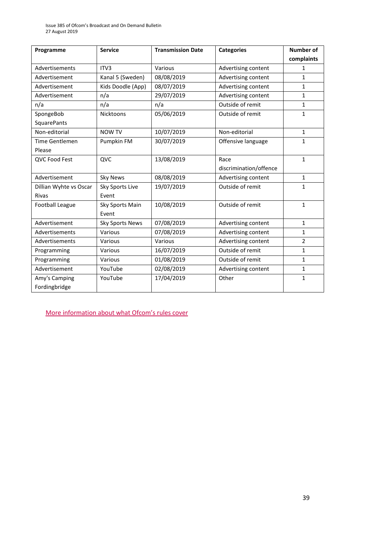| Programme              | <b>Service</b>         | <b>Transmission Date</b> | <b>Categories</b>      | <b>Number of</b> |
|------------------------|------------------------|--------------------------|------------------------|------------------|
|                        |                        |                          |                        | complaints       |
| Advertisements         | ITV <sub>3</sub>       | Various                  | Advertising content    | 1                |
| Advertisement          | Kanal 5 (Sweden)       | 08/08/2019               | Advertising content    | $\mathbf{1}$     |
| Advertisement          | Kids Doodle (App)      | 08/07/2019               | Advertising content    | $\mathbf{1}$     |
| Advertisement          | n/a                    | 29/07/2019               | Advertising content    | $\mathbf{1}$     |
| n/a                    | n/a                    | n/a                      | Outside of remit       | $\mathbf{1}$     |
| SpongeBob              | Nicktoons              | 05/06/2019               | Outside of remit       | $\mathbf{1}$     |
| <b>SquarePants</b>     |                        |                          |                        |                  |
| Non-editorial          | <b>NOW TV</b>          | 10/07/2019               | Non-editorial          | $\mathbf{1}$     |
| <b>Time Gentlemen</b>  | Pumpkin FM             | 30/07/2019               | Offensive language     | $\mathbf{1}$     |
| Please                 |                        |                          |                        |                  |
| QVC Food Fest          | QVC                    | 13/08/2019               | Race                   | $\mathbf{1}$     |
|                        |                        |                          | discrimination/offence |                  |
| Advertisement          | <b>Sky News</b>        | 08/08/2019               | Advertising content    | $\mathbf{1}$     |
| Dillian Wyhte vs Oscar | Sky Sports Live        | 19/07/2019               | Outside of remit       | $\mathbf{1}$     |
| <b>Rivas</b>           | Event                  |                          |                        |                  |
| <b>Football League</b> | Sky Sports Main        | 10/08/2019               | Outside of remit       | $\mathbf{1}$     |
|                        | Event                  |                          |                        |                  |
| Advertisement          | <b>Sky Sports News</b> | 07/08/2019               | Advertising content    | $\mathbf{1}$     |
| Advertisements         | Various                | 07/08/2019               | Advertising content    | $\mathbf{1}$     |
| Advertisements         | Various                | Various                  | Advertising content    | $\overline{2}$   |
| Programming            | Various                | 16/07/2019               | Outside of remit       | $\mathbf{1}$     |
| Programming            | Various                | 01/08/2019               | Outside of remit       | $\mathbf{1}$     |
| Advertisement          | YouTube                | 02/08/2019               | Advertising content    | $\mathbf 1$      |
| Amy's Camping          | YouTube                | 17/04/2019               | Other                  | $\mathbf{1}$     |
| Fordingbridge          |                        |                          |                        |                  |

M[ore information about what Ofcom's rules cover](https://www.ofcom.org.uk/tv-radio-and-on-demand/how-to-report-a-complaint/what-does-ofcom-cover)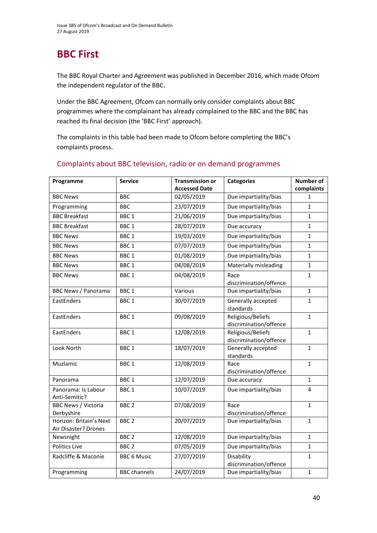# **BBC First**

The BBC Royal Charter and Agreement was published in December 2016, which made Ofcom the independent regulator of the BBC.

Under the BBC Agreement, Ofcom can normally only consider complaints about BBC programmes where the complainant has already complained to the BBC and the BBC has reached its final decision (the 'BBC First' approach).

The complaints in this table had been made to Ofcom before completing the BBC's complaints process.

| Programme                                       | <b>Service</b>      | <b>Transmission or</b> | <b>Categories</b>                           | <b>Number of</b> |
|-------------------------------------------------|---------------------|------------------------|---------------------------------------------|------------------|
|                                                 |                     | <b>Accessed Date</b>   |                                             | complaints       |
| <b>BBC News</b>                                 | <b>BBC</b>          | 02/05/2019             | Due impartiality/bias                       | 1                |
| Programming                                     | <b>BBC</b>          | 23/07/2019             | Due impartiality/bias                       | $\mathbf{1}$     |
| <b>BBC Breakfast</b>                            | BBC <sub>1</sub>    | 21/06/2019             | Due impartiality/bias                       | $\mathbf{1}$     |
| <b>BBC Breakfast</b>                            | BBC <sub>1</sub>    | 28/07/2019             | Due accuracy                                | $\mathbf{1}$     |
| <b>BBC News</b>                                 | BBC <sub>1</sub>    | 19/03/2019             | Due impartiality/bias                       | $\mathbf{1}$     |
| <b>BBC News</b>                                 | BBC <sub>1</sub>    | 07/07/2019             | Due impartiality/bias                       | $\mathbf{1}$     |
| <b>BBC News</b>                                 | BBC <sub>1</sub>    | 01/08/2019             | Due impartiality/bias                       | $\mathbf{1}$     |
| <b>BBC News</b>                                 | BBC <sub>1</sub>    | 04/08/2019             | Materially misleading                       | $\mathbf{1}$     |
| <b>BBC News</b>                                 | BBC <sub>1</sub>    | 04/08/2019             | Race<br>discrimination/offence              | $\mathbf{1}$     |
| <b>BBC News / Panorama</b>                      | BBC <sub>1</sub>    | Various                | Due impartiality/bias                       | $\mathbf{1}$     |
| EastEnders                                      | BBC <sub>1</sub>    | 30/07/2019             | Generally accepted<br>standards             | $\mathbf{1}$     |
| EastEnders                                      | BBC <sub>1</sub>    | 09/08/2019             | Religious/Beliefs<br>discrimination/offence | $\mathbf{1}$     |
| EastEnders                                      | BBC <sub>1</sub>    | 12/08/2019             | Religious/Beliefs<br>discrimination/offence | $\mathbf{1}$     |
| Look North                                      | BBC <sub>1</sub>    | 18/07/2019             | Generally accepted<br>standards             | $\mathbf{1}$     |
| Muzlamic                                        | BBC <sub>1</sub>    | 12/08/2019             | Race<br>discrimination/offence              | $\mathbf{1}$     |
| Panorama                                        | BBC <sub>1</sub>    | 12/07/2019             | Due accuracy                                | $\mathbf{1}$     |
| Panorama: Is Labour<br>Anti-Semitic?            | BBC <sub>1</sub>    | 10/07/2019             | Due impartiality/bias                       | 4                |
| <b>BBC News / Victoria</b><br>Derbyshire        | BBC <sub>2</sub>    | 07/08/2019             | Race<br>discrimination/offence              | $\mathbf{1}$     |
| Horizon: Britain's Next<br>Air Disaster? Drones | BBC <sub>2</sub>    | 20/07/2019             | Due impartiality/bias                       | $\mathbf{1}$     |
| Newsnight                                       | BBC <sub>2</sub>    | 12/08/2019             | Due impartiality/bias                       | $\mathbf{1}$     |
| <b>Politics Live</b>                            | BBC <sub>2</sub>    | 07/05/2019             | Due impartiality/bias                       | $\mathbf{1}$     |
| Radcliffe & Maconie                             | <b>BBC 6 Music</b>  | 27/07/2019             | Disability<br>discrimination/offence        | $\mathbf{1}$     |
| Programming                                     | <b>BBC</b> channels | 24/07/2019             | Due impartiality/bias                       | $\mathbf 1$      |

### Complaints about BBC television, radio or on demand programmes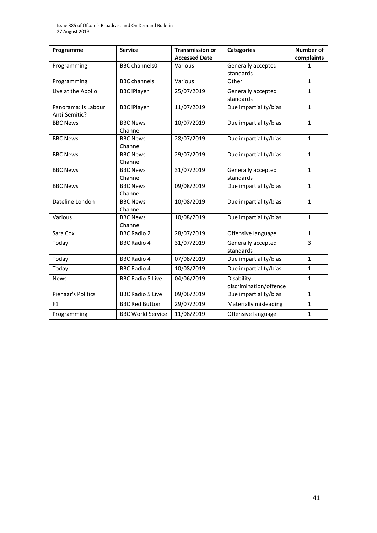Issue 385 of Ofcom's Broadcast and On Demand Bulletin 27 August 2019

| Programme                            | <b>Service</b>             | <b>Transmission or</b> | <b>Categories</b>               | <b>Number of</b> |
|--------------------------------------|----------------------------|------------------------|---------------------------------|------------------|
|                                      |                            | <b>Accessed Date</b>   |                                 | complaints       |
| Programming                          | <b>BBC</b> channels0       | Various                | Generally accepted              | $\mathbf{1}$     |
|                                      |                            |                        | standards                       |                  |
| Programming                          | <b>BBC</b> channels        | Various                | Other                           | $\mathbf{1}$     |
| Live at the Apollo                   | <b>BBC iPlayer</b>         | 25/07/2019             | Generally accepted<br>standards | $\mathbf{1}$     |
| Panorama: Is Labour<br>Anti-Semitic? | <b>BBC iPlayer</b>         | 11/07/2019             | Due impartiality/bias           | $\mathbf{1}$     |
| <b>BBC News</b>                      | <b>BBC News</b>            | 10/07/2019             | Due impartiality/bias           | $\mathbf{1}$     |
|                                      | Channel                    |                        |                                 |                  |
| <b>BBC News</b>                      | <b>BBC News</b><br>Channel | 28/07/2019             | Due impartiality/bias           | $\mathbf{1}$     |
| <b>BBC News</b>                      | <b>BBC News</b>            | 29/07/2019             | Due impartiality/bias           | $\mathbf{1}$     |
|                                      | Channel                    |                        |                                 |                  |
| <b>BBC News</b>                      | <b>BBC News</b><br>Channel | 31/07/2019             | Generally accepted<br>standards | $\mathbf{1}$     |
| <b>BBC News</b>                      | <b>BBC News</b>            | 09/08/2019             | Due impartiality/bias           | $\mathbf{1}$     |
|                                      | Channel                    |                        |                                 |                  |
| Dateline London                      | <b>BBC News</b>            | 10/08/2019             | Due impartiality/bias           | $\mathbf{1}$     |
|                                      | Channel                    |                        |                                 |                  |
| Various                              | <b>BBC News</b>            | 10/08/2019             | Due impartiality/bias           | $\mathbf{1}$     |
|                                      | Channel                    |                        |                                 |                  |
| Sara Cox                             | <b>BBC Radio 2</b>         | 28/07/2019             | Offensive language              | $\mathbf{1}$     |
| Today                                | <b>BBC Radio 4</b>         | 31/07/2019             | Generally accepted              | 3                |
|                                      |                            |                        | standards                       |                  |
| Today                                | <b>BBC Radio 4</b>         | 07/08/2019             | Due impartiality/bias           | $\mathbf{1}$     |
| Today                                | <b>BBC Radio 4</b>         | 10/08/2019             | Due impartiality/bias           | $\mathbf{1}$     |
| <b>News</b>                          | <b>BBC Radio 5 Live</b>    | 04/06/2019             | Disability                      | $\mathbf{1}$     |
|                                      |                            |                        | discrimination/offence          |                  |
| Pienaar's Politics                   | <b>BBC Radio 5 Live</b>    | 09/06/2019             | Due impartiality/bias           | $\mathbf{1}$     |
| F1                                   | <b>BBC Red Button</b>      | 29/07/2019             | Materially misleading           | $\mathbf{1}$     |
| Programming                          | <b>BBC World Service</b>   | 11/08/2019             | Offensive language              | $\mathbf{1}$     |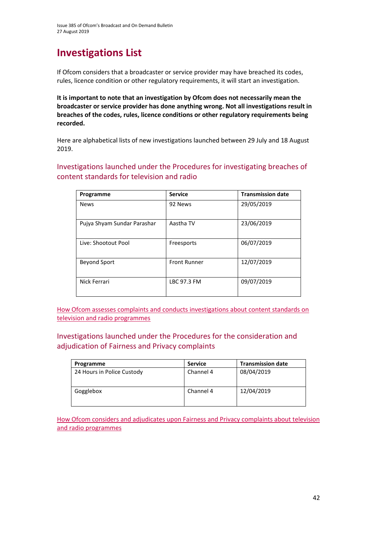# **Investigations List**

If Ofcom considers that a broadcaster or service provider may have breached its codes, rules, licence condition or other regulatory requirements, it will start an investigation.

**It is important to note that an investigation by Ofcom does not necessarily mean the broadcaster or service provider has done anything wrong. Not all investigations result in breaches of the codes, rules, licence conditions or other regulatory requirements being recorded.**

Here are alphabetical lists of new investigations launched between 29 July and 18 August 2019.

Investigations launched under the Procedures for investigating breaches of content standards for television and radio

| Programme                   | <b>Service</b>      | <b>Transmission date</b> |
|-----------------------------|---------------------|--------------------------|
| <b>News</b>                 | 92 News             | 29/05/2019               |
| Pujya Shyam Sundar Parashar | Aastha TV           | 23/06/2019               |
| Live: Shootout Pool         | Freesports          | 06/07/2019               |
| Beyond Sport                | <b>Front Runner</b> | 12/07/2019               |
| Nick Ferrari                | LBC 97.3 FM         | 09/07/2019               |

[How Ofcom assesses complaints and conducts investigations about content standards on](https://www.ofcom.org.uk/__data/assets/pdf_file/0020/55109/breaches-content-standards.pdf)  [television and radio programmes](https://www.ofcom.org.uk/__data/assets/pdf_file/0020/55109/breaches-content-standards.pdf)

Investigations launched under the Procedures for the consideration and adjudication of Fairness and Privacy complaints

| Programme                  | <b>Service</b> | <b>Transmission date</b> |
|----------------------------|----------------|--------------------------|
| 24 Hours in Police Custody | Channel 4      | 08/04/2019               |
| Gogglebox                  | Channel 4      | 12/04/2019               |

[How Ofcom considers and adjudicates upon Fairness and Privacy complaints about television](https://www.ofcom.org.uk/__data/assets/pdf_file/0031/57388/fairness-privacy-complaints.pdf)  [and radio programmes](https://www.ofcom.org.uk/__data/assets/pdf_file/0031/57388/fairness-privacy-complaints.pdf)